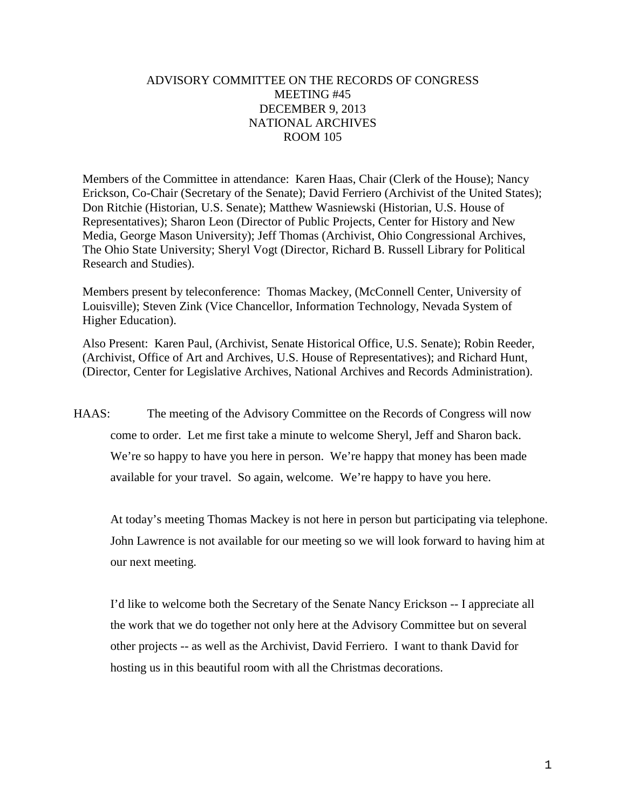## ADVISORY COMMITTEE ON THE RECORDS OF CONGRESS MEETING #45 DECEMBER 9, 2013 NATIONAL ARCHIVES ROOM 105

Members of the Committee in attendance: Karen Haas, Chair (Clerk of the House); Nancy Erickson, Co-Chair (Secretary of the Senate); David Ferriero (Archivist of the United States); Don Ritchie (Historian, U.S. Senate); Matthew Wasniewski (Historian, U.S. House of Representatives); Sharon Leon (Director of Public Projects, Center for History and New Media, George Mason University); Jeff Thomas (Archivist, Ohio Congressional Archives, The Ohio State University; Sheryl Vogt (Director, Richard B. Russell Library for Political Research and Studies).

Members present by teleconference: Thomas Mackey, (McConnell Center, University of Louisville); Steven Zink (Vice Chancellor, Information Technology, Nevada System of Higher Education).

Also Present: Karen Paul, (Archivist, Senate Historical Office, U.S. Senate); Robin Reeder, (Archivist, Office of Art and Archives, U.S. House of Representatives); and Richard Hunt, (Director, Center for Legislative Archives, National Archives and Records Administration).

HAAS: The meeting of the Advisory Committee on the Records of Congress will now come to order. Let me first take a minute to welcome Sheryl, Jeff and Sharon back. We're so happy to have you here in person. We're happy that money has been made available for your travel. So again, welcome. We're happy to have you here.

At today's meeting Thomas Mackey is not here in person but participating via telephone. John Lawrence is not available for our meeting so we will look forward to having him at our next meeting.

I'd like to welcome both the Secretary of the Senate Nancy Erickson -- I appreciate all the work that we do together not only here at the Advisory Committee but on several other projects -- as well as the Archivist, David Ferriero. I want to thank David for hosting us in this beautiful room with all the Christmas decorations.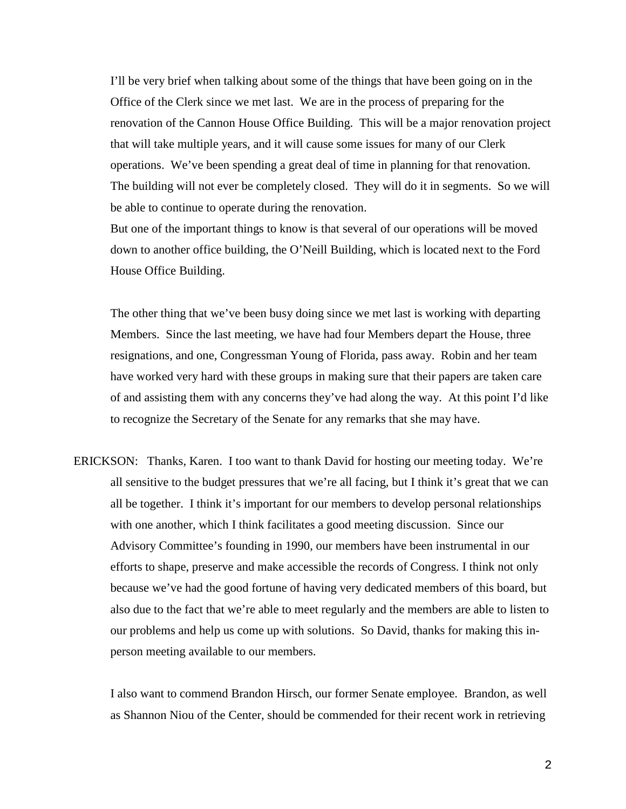I'll be very brief when talking about some of the things that have been going on in the Office of the Clerk since we met last. We are in the process of preparing for the renovation of the Cannon House Office Building. This will be a major renovation project that will take multiple years, and it will cause some issues for many of our Clerk operations. We've been spending a great deal of time in planning for that renovation. The building will not ever be completely closed. They will do it in segments. So we will be able to continue to operate during the renovation.

But one of the important things to know is that several of our operations will be moved down to another office building, the O'Neill Building, which is located next to the Ford House Office Building.

The other thing that we've been busy doing since we met last is working with departing Members. Since the last meeting, we have had four Members depart the House, three resignations, and one, Congressman Young of Florida, pass away. Robin and her team have worked very hard with these groups in making sure that their papers are taken care of and assisting them with any concerns they've had along the way. At this point I'd like to recognize the Secretary of the Senate for any remarks that she may have.

ERICKSON: Thanks, Karen. I too want to thank David for hosting our meeting today. We're all sensitive to the budget pressures that we're all facing, but I think it's great that we can all be together. I think it's important for our members to develop personal relationships with one another, which I think facilitates a good meeting discussion. Since our Advisory Committee's founding in 1990, our members have been instrumental in our efforts to shape, preserve and make accessible the records of Congress. I think not only because we've had the good fortune of having very dedicated members of this board, but also due to the fact that we're able to meet regularly and the members are able to listen to our problems and help us come up with solutions. So David, thanks for making this inperson meeting available to our members.

I also want to commend Brandon Hirsch, our former Senate employee. Brandon, as well as Shannon Niou of the Center, should be commended for their recent work in retrieving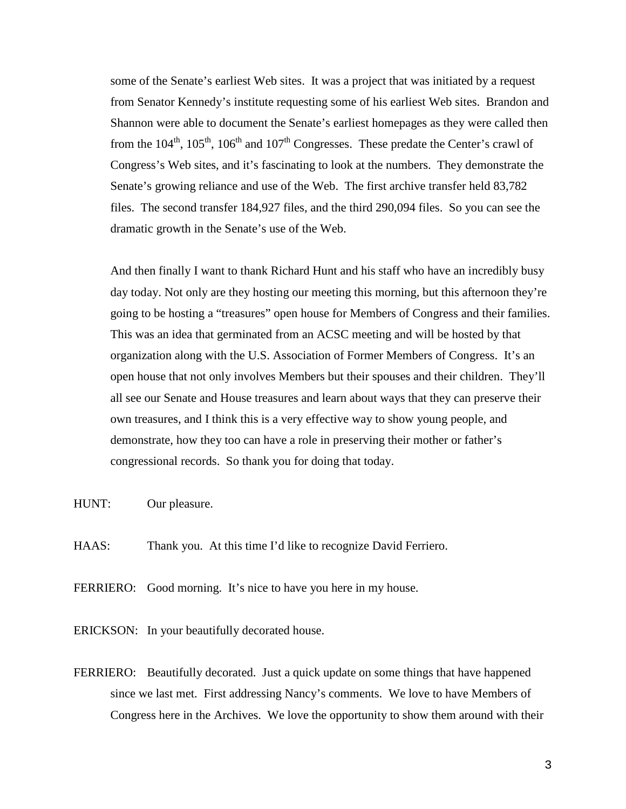some of the Senate's earliest Web sites. It was a project that was initiated by a request from Senator Kennedy's institute requesting some of his earliest Web sites. Brandon and Shannon were able to document the Senate's earliest homepages as they were called then from the  $104<sup>th</sup>$ ,  $105<sup>th</sup>$ ,  $106<sup>th</sup>$  and  $107<sup>th</sup>$  Congresses. These predate the Center's crawl of Congress's Web sites, and it's fascinating to look at the numbers. They demonstrate the Senate's growing reliance and use of the Web. The first archive transfer held 83,782 files. The second transfer 184,927 files, and the third 290,094 files. So you can see the dramatic growth in the Senate's use of the Web.

And then finally I want to thank Richard Hunt and his staff who have an incredibly busy day today. Not only are they hosting our meeting this morning, but this afternoon they're going to be hosting a "treasures" open house for Members of Congress and their families. This was an idea that germinated from an ACSC meeting and will be hosted by that organization along with the U.S. Association of Former Members of Congress. It's an open house that not only involves Members but their spouses and their children. They'll all see our Senate and House treasures and learn about ways that they can preserve their own treasures, and I think this is a very effective way to show young people, and demonstrate, how they too can have a role in preserving their mother or father's congressional records. So thank you for doing that today.

- HUNT: Our pleasure.
- HAAS: Thank you. At this time I'd like to recognize David Ferriero.

FERRIERO: Good morning. It's nice to have you here in my house.

- ERICKSON: In your beautifully decorated house.
- FERRIERO: Beautifully decorated. Just a quick update on some things that have happened since we last met. First addressing Nancy's comments. We love to have Members of Congress here in the Archives. We love the opportunity to show them around with their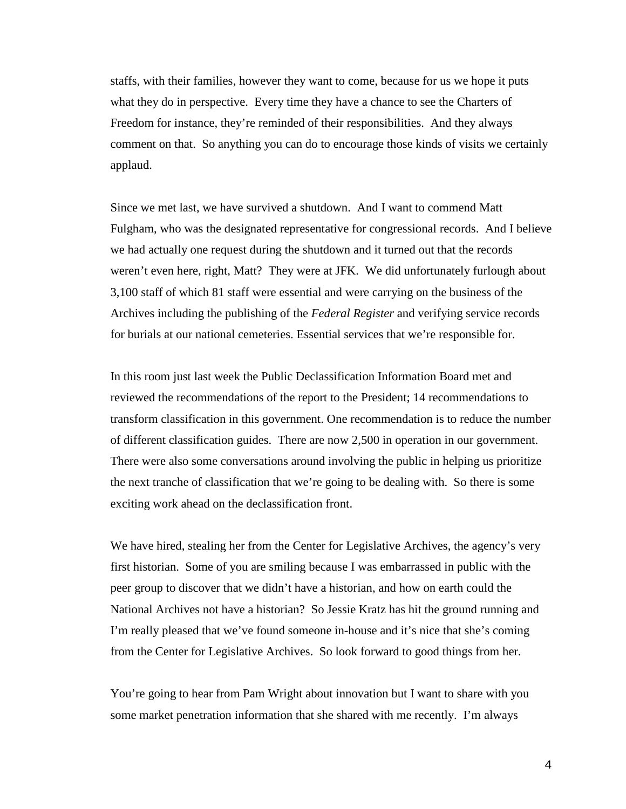staffs, with their families, however they want to come, because for us we hope it puts what they do in perspective. Every time they have a chance to see the Charters of Freedom for instance, they're reminded of their responsibilities. And they always comment on that. So anything you can do to encourage those kinds of visits we certainly applaud.

Since we met last, we have survived a shutdown. And I want to commend Matt Fulgham, who was the designated representative for congressional records. And I believe we had actually one request during the shutdown and it turned out that the records weren't even here, right, Matt? They were at JFK. We did unfortunately furlough about 3,100 staff of which 81 staff were essential and were carrying on the business of the Archives including the publishing of the *Federal Register* and verifying service records for burials at our national cemeteries. Essential services that we're responsible for.

In this room just last week the Public Declassification Information Board met and reviewed the recommendations of the report to the President; 14 recommendations to transform classification in this government. One recommendation is to reduce the number of different classification guides. There are now 2,500 in operation in our government. There were also some conversations around involving the public in helping us prioritize the next tranche of classification that we're going to be dealing with. So there is some exciting work ahead on the declassification front.

We have hired, stealing her from the Center for Legislative Archives, the agency's very first historian. Some of you are smiling because I was embarrassed in public with the peer group to discover that we didn't have a historian, and how on earth could the National Archives not have a historian? So Jessie Kratz has hit the ground running and I'm really pleased that we've found someone in-house and it's nice that she's coming from the Center for Legislative Archives. So look forward to good things from her.

You're going to hear from Pam Wright about innovation but I want to share with you some market penetration information that she shared with me recently. I'm always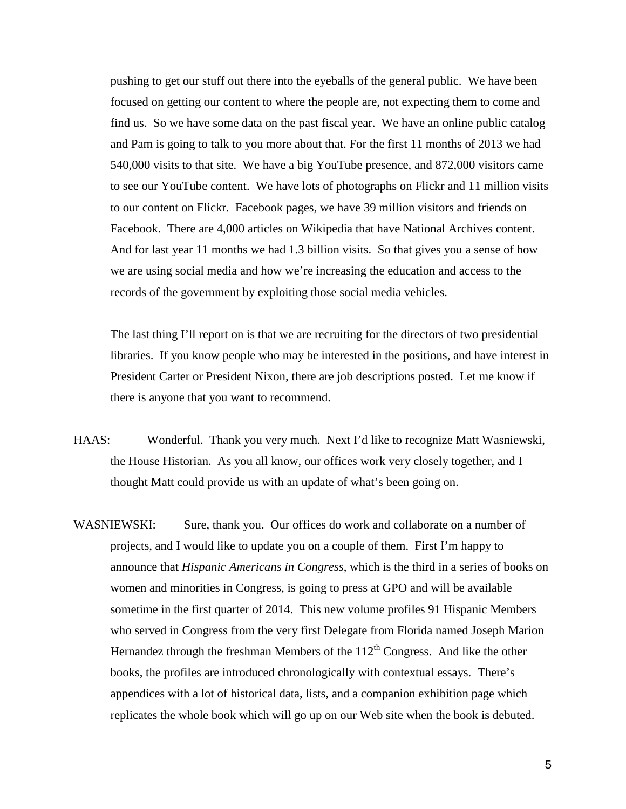pushing to get our stuff out there into the eyeballs of the general public. We have been focused on getting our content to where the people are, not expecting them to come and find us. So we have some data on the past fiscal year. We have an online public catalog and Pam is going to talk to you more about that. For the first 11 months of 2013 we had 540,000 visits to that site. We have a big YouTube presence, and 872,000 visitors came to see our YouTube content. We have lots of photographs on Flickr and 11 million visits to our content on Flickr. Facebook pages, we have 39 million visitors and friends on Facebook. There are 4,000 articles on Wikipedia that have National Archives content. And for last year 11 months we had 1.3 billion visits. So that gives you a sense of how we are using social media and how we're increasing the education and access to the records of the government by exploiting those social media vehicles.

The last thing I'll report on is that we are recruiting for the directors of two presidential libraries. If you know people who may be interested in the positions, and have interest in President Carter or President Nixon, there are job descriptions posted. Let me know if there is anyone that you want to recommend.

- HAAS: Wonderful. Thank you very much. Next I'd like to recognize Matt Wasniewski, the House Historian. As you all know, our offices work very closely together, and I thought Matt could provide us with an update of what's been going on.
- WASNIEWSKI: Sure, thank you. Our offices do work and collaborate on a number of projects, and I would like to update you on a couple of them. First I'm happy to announce that *Hispanic Americans in Congress*, which is the third in a series of books on women and minorities in Congress, is going to press at GPO and will be available sometime in the first quarter of 2014. This new volume profiles 91 Hispanic Members who served in Congress from the very first Delegate from Florida named Joseph Marion Hernandez through the freshman Members of the  $112<sup>th</sup>$  Congress. And like the other books, the profiles are introduced chronologically with contextual essays. There's appendices with a lot of historical data, lists, and a companion exhibition page which replicates the whole book which will go up on our Web site when the book is debuted.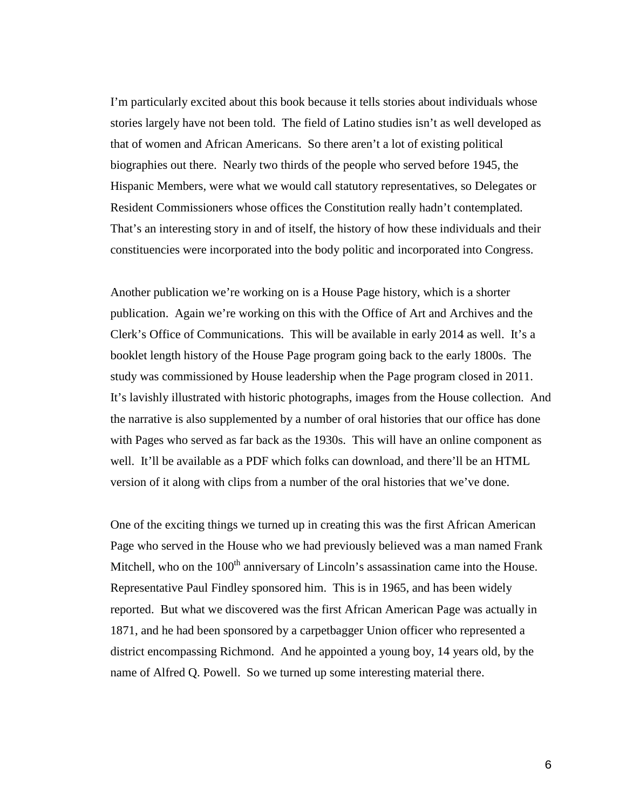I'm particularly excited about this book because it tells stories about individuals whose stories largely have not been told. The field of Latino studies isn't as well developed as that of women and African Americans. So there aren't a lot of existing political biographies out there. Nearly two thirds of the people who served before 1945, the Hispanic Members, were what we would call statutory representatives, so Delegates or Resident Commissioners whose offices the Constitution really hadn't contemplated. That's an interesting story in and of itself, the history of how these individuals and their constituencies were incorporated into the body politic and incorporated into Congress.

Another publication we're working on is a House Page history, which is a shorter publication. Again we're working on this with the Office of Art and Archives and the Clerk's Office of Communications. This will be available in early 2014 as well. It's a booklet length history of the House Page program going back to the early 1800s. The study was commissioned by House leadership when the Page program closed in 2011. It's lavishly illustrated with historic photographs, images from the House collection. And the narrative is also supplemented by a number of oral histories that our office has done with Pages who served as far back as the 1930s. This will have an online component as well. It'll be available as a PDF which folks can download, and there'll be an HTML version of it along with clips from a number of the oral histories that we've done.

One of the exciting things we turned up in creating this was the first African American Page who served in the House who we had previously believed was a man named Frank Mitchell, who on the  $100<sup>th</sup>$  anniversary of Lincoln's assassination came into the House. Representative Paul Findley sponsored him. This is in 1965, and has been widely reported. But what we discovered was the first African American Page was actually in 1871, and he had been sponsored by a carpetbagger Union officer who represented a district encompassing Richmond. And he appointed a young boy, 14 years old, by the name of Alfred Q. Powell. So we turned up some interesting material there.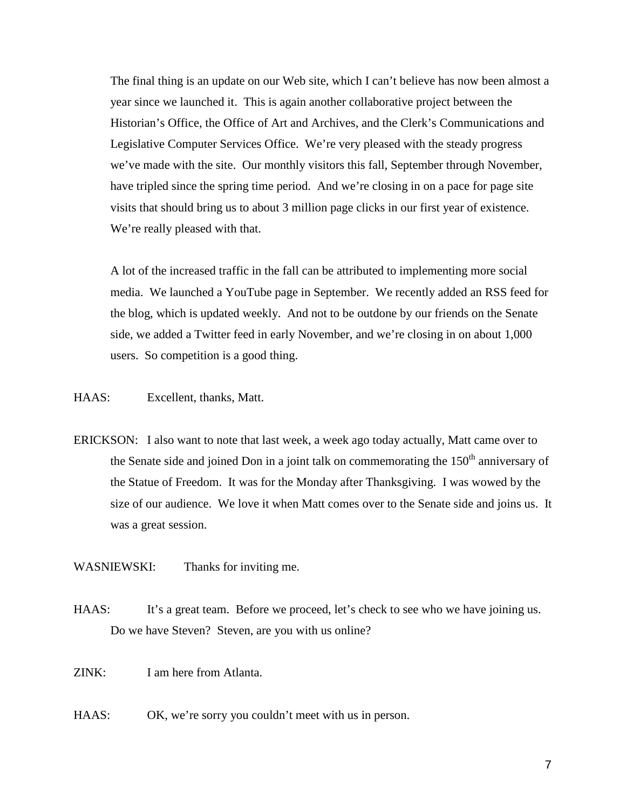The final thing is an update on our Web site, which I can't believe has now been almost a year since we launched it. This is again another collaborative project between the Historian's Office, the Office of Art and Archives, and the Clerk's Communications and Legislative Computer Services Office. We're very pleased with the steady progress we've made with the site. Our monthly visitors this fall, September through November, have tripled since the spring time period. And we're closing in on a pace for page site visits that should bring us to about 3 million page clicks in our first year of existence. We're really pleased with that.

A lot of the increased traffic in the fall can be attributed to implementing more social media. We launched a YouTube page in September. We recently added an RSS feed for the blog, which is updated weekly. And not to be outdone by our friends on the Senate side, we added a Twitter feed in early November, and we're closing in on about 1,000 users. So competition is a good thing.

- HAAS: Excellent, thanks, Matt.
- ERICKSON: I also want to note that last week, a week ago today actually, Matt came over to the Senate side and joined Don in a joint talk on commemorating the  $150<sup>th</sup>$  anniversary of the Statue of Freedom. It was for the Monday after Thanksgiving. I was wowed by the size of our audience. We love it when Matt comes over to the Senate side and joins us. It was a great session.
- WASNIEWSKI: Thanks for inviting me.
- HAAS: It's a great team. Before we proceed, let's check to see who we have joining us. Do we have Steven? Steven, are you with us online?
- ZINK: I am here from Atlanta.
- HAAS: OK, we're sorry you couldn't meet with us in person.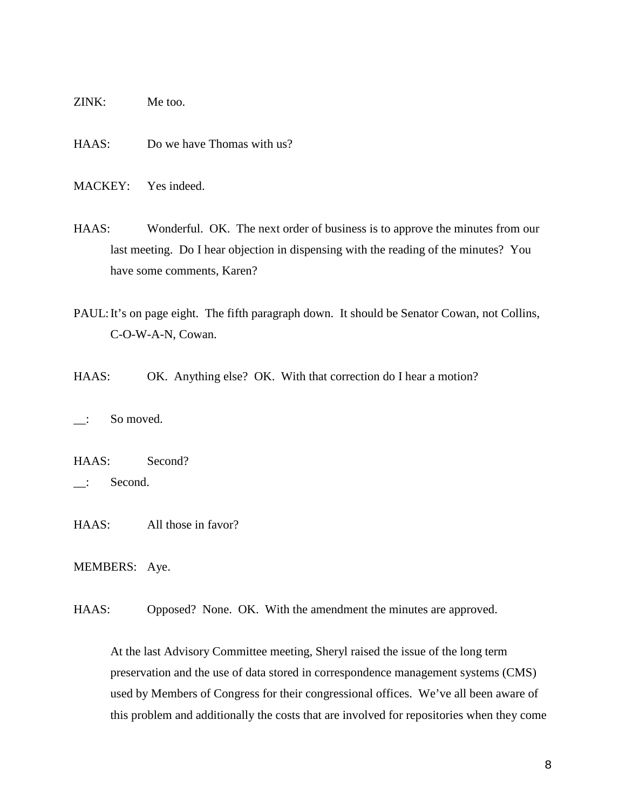ZINK: Me too.

HAAS: Do we have Thomas with us?

MACKEY: Yes indeed.

HAAS: Wonderful. OK. The next order of business is to approve the minutes from our last meeting. Do I hear objection in dispensing with the reading of the minutes? You have some comments, Karen?

PAUL: It's on page eight. The fifth paragraph down. It should be Senator Cowan, not Collins, C-O-W-A-N, Cowan.

HAAS: OK. Anything else? OK. With that correction do I hear a motion?

\_\_: So moved.

HAAS: Second?

\_\_: Second.

HAAS: All those in favor?

MEMBERS: Aye.

HAAS: Opposed? None. OK. With the amendment the minutes are approved.

At the last Advisory Committee meeting, Sheryl raised the issue of the long term preservation and the use of data stored in correspondence management systems (CMS) used by Members of Congress for their congressional offices. We've all been aware of this problem and additionally the costs that are involved for repositories when they come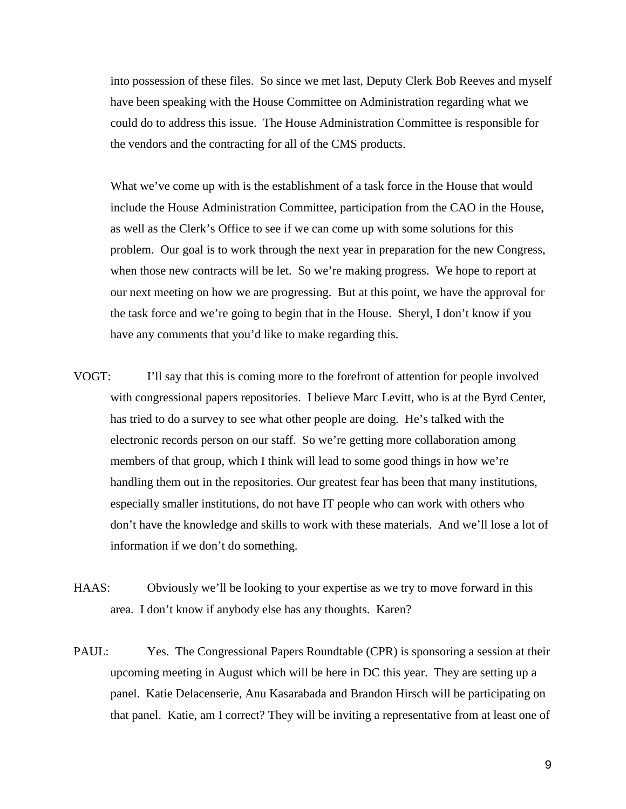into possession of these files. So since we met last, Deputy Clerk Bob Reeves and myself have been speaking with the House Committee on Administration regarding what we could do to address this issue. The House Administration Committee is responsible for the vendors and the contracting for all of the CMS products.

What we've come up with is the establishment of a task force in the House that would include the House Administration Committee, participation from the CAO in the House, as well as the Clerk's Office to see if we can come up with some solutions for this problem. Our goal is to work through the next year in preparation for the new Congress, when those new contracts will be let. So we're making progress. We hope to report at our next meeting on how we are progressing. But at this point, we have the approval for the task force and we're going to begin that in the House. Sheryl, I don't know if you have any comments that you'd like to make regarding this.

- VOGT: I'll say that this is coming more to the forefront of attention for people involved with congressional papers repositories. I believe Marc Levitt, who is at the Byrd Center, has tried to do a survey to see what other people are doing. He's talked with the electronic records person on our staff. So we're getting more collaboration among members of that group, which I think will lead to some good things in how we're handling them out in the repositories. Our greatest fear has been that many institutions, especially smaller institutions, do not have IT people who can work with others who don't have the knowledge and skills to work with these materials. And we'll lose a lot of information if we don't do something.
- HAAS: Obviously we'll be looking to your expertise as we try to move forward in this area. I don't know if anybody else has any thoughts. Karen?
- PAUL: Yes. The Congressional Papers Roundtable (CPR) is sponsoring a session at their upcoming meeting in August which will be here in DC this year. They are setting up a panel. Katie Delacenserie, Anu Kasarabada and Brandon Hirsch will be participating on that panel. Katie, am I correct? They will be inviting a representative from at least one of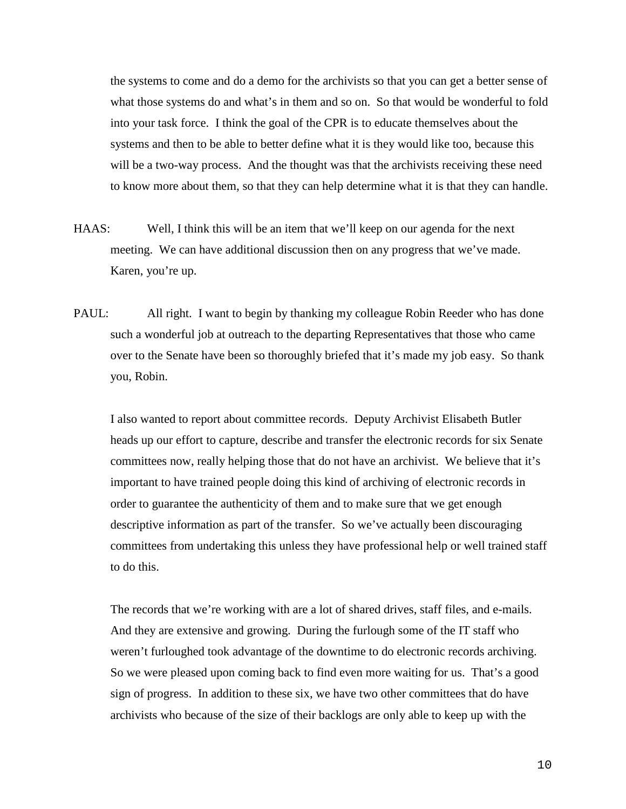the systems to come and do a demo for the archivists so that you can get a better sense of what those systems do and what's in them and so on. So that would be wonderful to fold into your task force. I think the goal of the CPR is to educate themselves about the systems and then to be able to better define what it is they would like too, because this will be a two-way process. And the thought was that the archivists receiving these need to know more about them, so that they can help determine what it is that they can handle.

- HAAS: Well, I think this will be an item that we'll keep on our agenda for the next meeting. We can have additional discussion then on any progress that we've made. Karen, you're up.
- PAUL: All right. I want to begin by thanking my colleague Robin Reeder who has done such a wonderful job at outreach to the departing Representatives that those who came over to the Senate have been so thoroughly briefed that it's made my job easy. So thank you, Robin.

I also wanted to report about committee records. Deputy Archivist Elisabeth Butler heads up our effort to capture, describe and transfer the electronic records for six Senate committees now, really helping those that do not have an archivist. We believe that it's important to have trained people doing this kind of archiving of electronic records in order to guarantee the authenticity of them and to make sure that we get enough descriptive information as part of the transfer. So we've actually been discouraging committees from undertaking this unless they have professional help or well trained staff to do this.

The records that we're working with are a lot of shared drives, staff files, and e-mails. And they are extensive and growing. During the furlough some of the IT staff who weren't furloughed took advantage of the downtime to do electronic records archiving. So we were pleased upon coming back to find even more waiting for us. That's a good sign of progress. In addition to these six, we have two other committees that do have archivists who because of the size of their backlogs are only able to keep up with the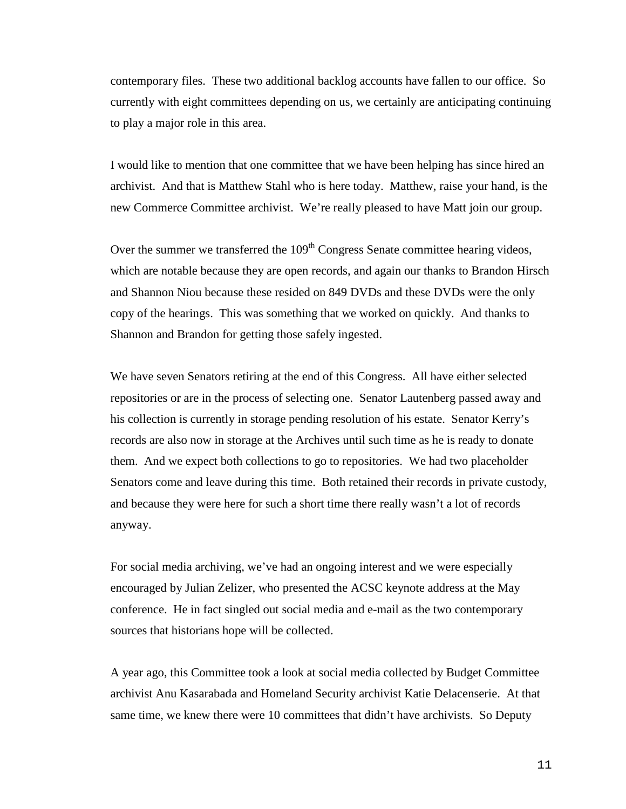contemporary files. These two additional backlog accounts have fallen to our office. So currently with eight committees depending on us, we certainly are anticipating continuing to play a major role in this area.

I would like to mention that one committee that we have been helping has since hired an archivist. And that is Matthew Stahl who is here today. Matthew, raise your hand, is the new Commerce Committee archivist. We're really pleased to have Matt join our group.

Over the summer we transferred the  $109<sup>th</sup>$  Congress Senate committee hearing videos, which are notable because they are open records, and again our thanks to Brandon Hirsch and Shannon Niou because these resided on 849 DVDs and these DVDs were the only copy of the hearings. This was something that we worked on quickly. And thanks to Shannon and Brandon for getting those safely ingested.

We have seven Senators retiring at the end of this Congress. All have either selected repositories or are in the process of selecting one. Senator Lautenberg passed away and his collection is currently in storage pending resolution of his estate. Senator Kerry's records are also now in storage at the Archives until such time as he is ready to donate them. And we expect both collections to go to repositories. We had two placeholder Senators come and leave during this time. Both retained their records in private custody, and because they were here for such a short time there really wasn't a lot of records anyway.

For social media archiving, we've had an ongoing interest and we were especially encouraged by Julian Zelizer, who presented the ACSC keynote address at the May conference. He in fact singled out social media and e-mail as the two contemporary sources that historians hope will be collected.

A year ago, this Committee took a look at social media collected by Budget Committee archivist Anu Kasarabada and Homeland Security archivist Katie Delacenserie. At that same time, we knew there were 10 committees that didn't have archivists. So Deputy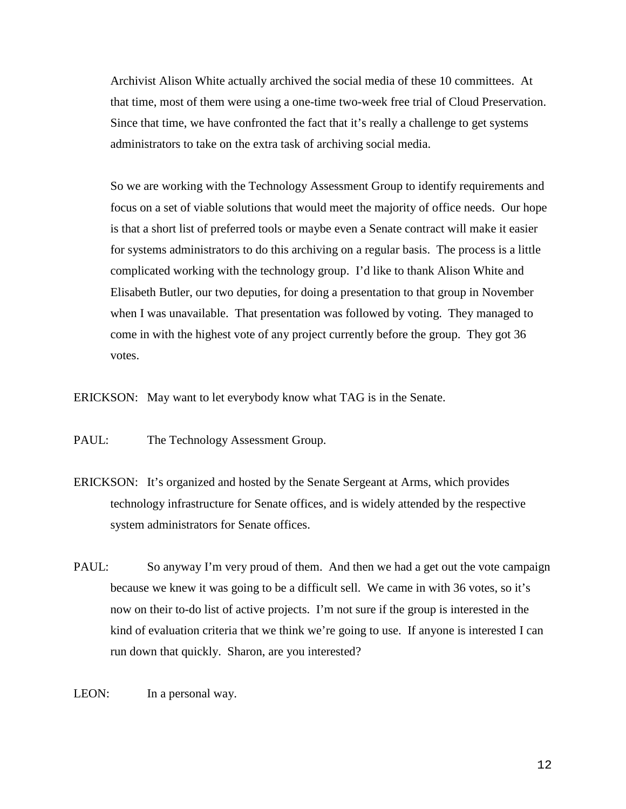Archivist Alison White actually archived the social media of these 10 committees. At that time, most of them were using a one-time two-week free trial of Cloud Preservation. Since that time, we have confronted the fact that it's really a challenge to get systems administrators to take on the extra task of archiving social media.

So we are working with the Technology Assessment Group to identify requirements and focus on a set of viable solutions that would meet the majority of office needs. Our hope is that a short list of preferred tools or maybe even a Senate contract will make it easier for systems administrators to do this archiving on a regular basis. The process is a little complicated working with the technology group. I'd like to thank Alison White and Elisabeth Butler, our two deputies, for doing a presentation to that group in November when I was unavailable. That presentation was followed by voting. They managed to come in with the highest vote of any project currently before the group. They got 36 votes.

ERICKSON: May want to let everybody know what TAG is in the Senate.

PAUL: The Technology Assessment Group.

- ERICKSON: It's organized and hosted by the Senate Sergeant at Arms, which provides technology infrastructure for Senate offices, and is widely attended by the respective system administrators for Senate offices.
- PAUL: So anyway I'm very proud of them. And then we had a get out the vote campaign because we knew it was going to be a difficult sell. We came in with 36 votes, so it's now on their to-do list of active projects. I'm not sure if the group is interested in the kind of evaluation criteria that we think we're going to use. If anyone is interested I can run down that quickly. Sharon, are you interested?
- LEON: In a personal way.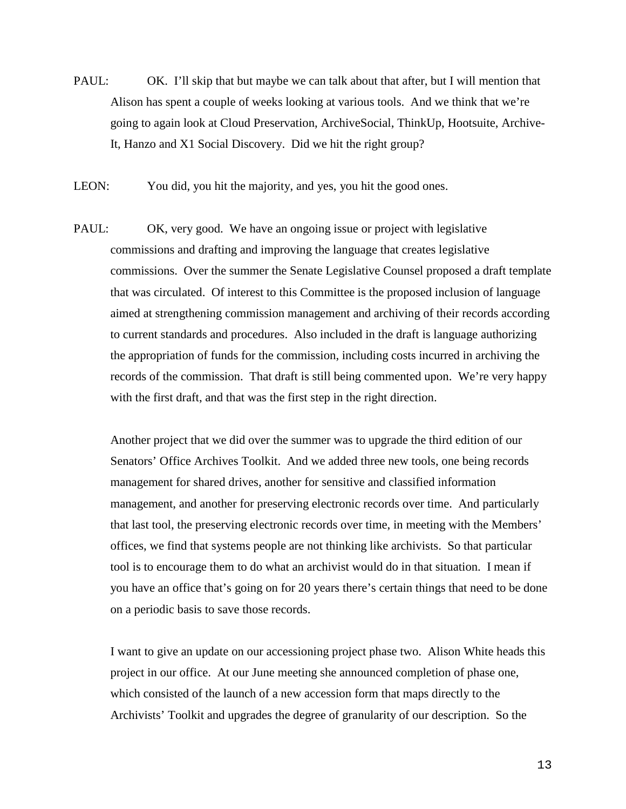- PAUL: OK. I'll skip that but maybe we can talk about that after, but I will mention that Alison has spent a couple of weeks looking at various tools. And we think that we're going to again look at Cloud Preservation, ArchiveSocial, ThinkUp, Hootsuite, Archive-It, Hanzo and X1 Social Discovery. Did we hit the right group?
- LEON: You did, you hit the majority, and yes, you hit the good ones.
- PAUL: OK, very good. We have an ongoing issue or project with legislative commissions and drafting and improving the language that creates legislative commissions. Over the summer the Senate Legislative Counsel proposed a draft template that was circulated. Of interest to this Committee is the proposed inclusion of language aimed at strengthening commission management and archiving of their records according to current standards and procedures. Also included in the draft is language authorizing the appropriation of funds for the commission, including costs incurred in archiving the records of the commission. That draft is still being commented upon. We're very happy with the first draft, and that was the first step in the right direction.

Another project that we did over the summer was to upgrade the third edition of our Senators' Office Archives Toolkit. And we added three new tools, one being records management for shared drives, another for sensitive and classified information management, and another for preserving electronic records over time. And particularly that last tool, the preserving electronic records over time, in meeting with the Members' offices, we find that systems people are not thinking like archivists. So that particular tool is to encourage them to do what an archivist would do in that situation. I mean if you have an office that's going on for 20 years there's certain things that need to be done on a periodic basis to save those records.

I want to give an update on our accessioning project phase two. Alison White heads this project in our office. At our June meeting she announced completion of phase one, which consisted of the launch of a new accession form that maps directly to the Archivists' Toolkit and upgrades the degree of granularity of our description. So the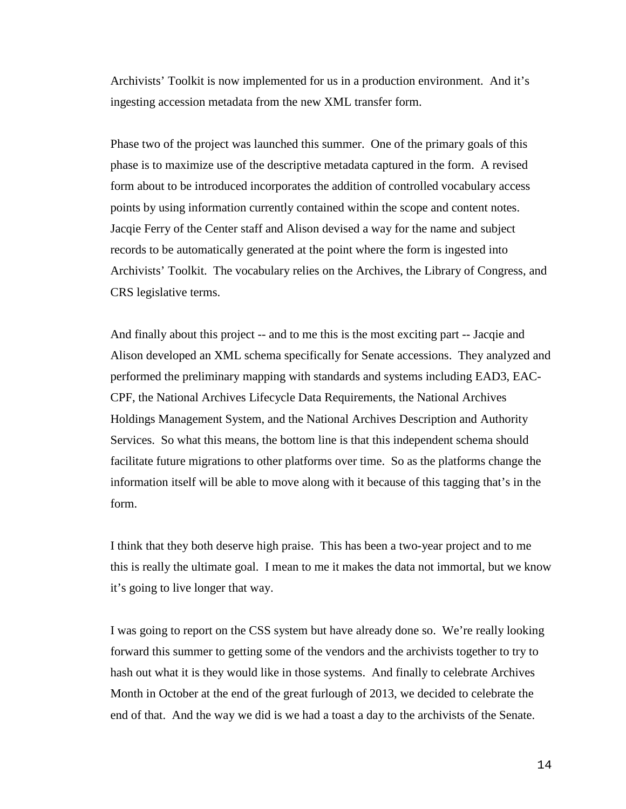Archivists' Toolkit is now implemented for us in a production environment. And it's ingesting accession metadata from the new XML transfer form.

Phase two of the project was launched this summer. One of the primary goals of this phase is to maximize use of the descriptive metadata captured in the form. A revised form about to be introduced incorporates the addition of controlled vocabulary access points by using information currently contained within the scope and content notes. Jacqie Ferry of the Center staff and Alison devised a way for the name and subject records to be automatically generated at the point where the form is ingested into Archivists' Toolkit. The vocabulary relies on the Archives, the Library of Congress, and CRS legislative terms.

And finally about this project -- and to me this is the most exciting part -- Jacqie and Alison developed an XML schema specifically for Senate accessions. They analyzed and performed the preliminary mapping with standards and systems including EAD3, EAC-CPF, the National Archives Lifecycle Data Requirements, the National Archives Holdings Management System, and the National Archives Description and Authority Services. So what this means, the bottom line is that this independent schema should facilitate future migrations to other platforms over time. So as the platforms change the information itself will be able to move along with it because of this tagging that's in the form.

I think that they both deserve high praise. This has been a two-year project and to me this is really the ultimate goal. I mean to me it makes the data not immortal, but we know it's going to live longer that way.

I was going to report on the CSS system but have already done so. We're really looking forward this summer to getting some of the vendors and the archivists together to try to hash out what it is they would like in those systems. And finally to celebrate Archives Month in October at the end of the great furlough of 2013, we decided to celebrate the end of that. And the way we did is we had a toast a day to the archivists of the Senate.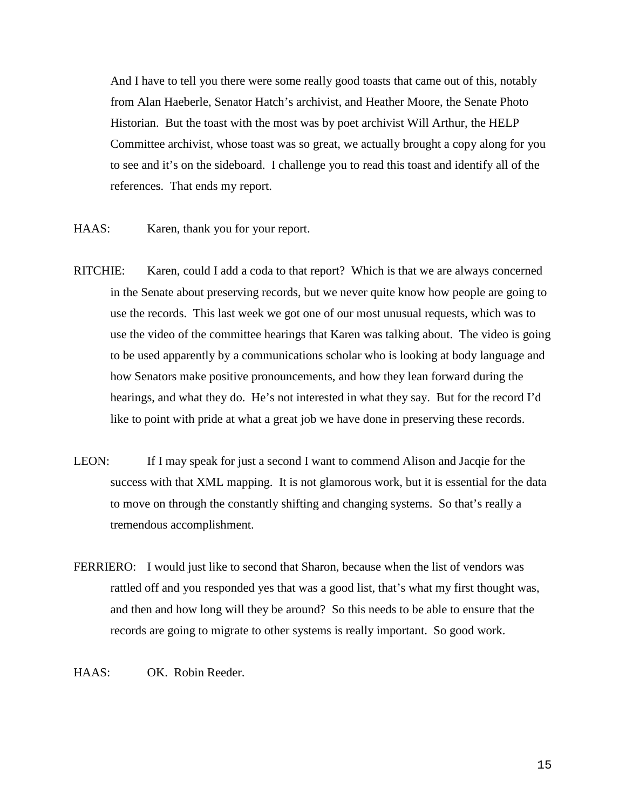And I have to tell you there were some really good toasts that came out of this, notably from Alan Haeberle, Senator Hatch's archivist, and Heather Moore, the Senate Photo Historian. But the toast with the most was by poet archivist Will Arthur, the HELP Committee archivist, whose toast was so great, we actually brought a copy along for you to see and it's on the sideboard. I challenge you to read this toast and identify all of the references. That ends my report.

- HAAS: Karen, thank you for your report.
- RITCHIE: Karen, could I add a coda to that report? Which is that we are always concerned in the Senate about preserving records, but we never quite know how people are going to use the records. This last week we got one of our most unusual requests, which was to use the video of the committee hearings that Karen was talking about. The video is going to be used apparently by a communications scholar who is looking at body language and how Senators make positive pronouncements, and how they lean forward during the hearings, and what they do. He's not interested in what they say. But for the record I'd like to point with pride at what a great job we have done in preserving these records.
- LEON: If I may speak for just a second I want to commend Alison and Jacqie for the success with that XML mapping. It is not glamorous work, but it is essential for the data to move on through the constantly shifting and changing systems. So that's really a tremendous accomplishment.
- FERRIERO: I would just like to second that Sharon, because when the list of vendors was rattled off and you responded yes that was a good list, that's what my first thought was, and then and how long will they be around? So this needs to be able to ensure that the records are going to migrate to other systems is really important. So good work.
- HAAS: OK. Robin Reeder.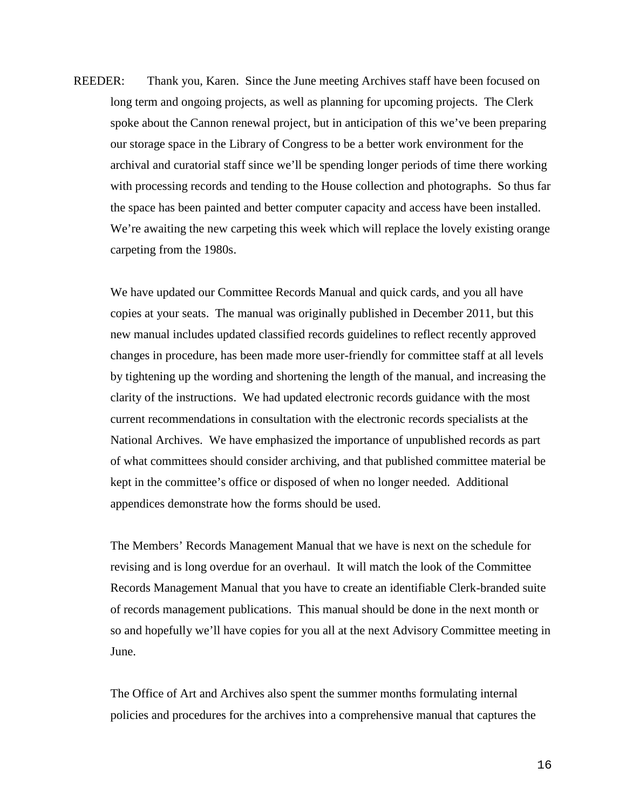REEDER: Thank you, Karen. Since the June meeting Archives staff have been focused on long term and ongoing projects, as well as planning for upcoming projects. The Clerk spoke about the Cannon renewal project, but in anticipation of this we've been preparing our storage space in the Library of Congress to be a better work environment for the archival and curatorial staff since we'll be spending longer periods of time there working with processing records and tending to the House collection and photographs. So thus far the space has been painted and better computer capacity and access have been installed. We're awaiting the new carpeting this week which will replace the lovely existing orange carpeting from the 1980s.

We have updated our Committee Records Manual and quick cards, and you all have copies at your seats. The manual was originally published in December 2011, but this new manual includes updated classified records guidelines to reflect recently approved changes in procedure, has been made more user-friendly for committee staff at all levels by tightening up the wording and shortening the length of the manual, and increasing the clarity of the instructions. We had updated electronic records guidance with the most current recommendations in consultation with the electronic records specialists at the National Archives. We have emphasized the importance of unpublished records as part of what committees should consider archiving, and that published committee material be kept in the committee's office or disposed of when no longer needed. Additional appendices demonstrate how the forms should be used.

The Members' Records Management Manual that we have is next on the schedule for revising and is long overdue for an overhaul. It will match the look of the Committee Records Management Manual that you have to create an identifiable Clerk-branded suite of records management publications. This manual should be done in the next month or so and hopefully we'll have copies for you all at the next Advisory Committee meeting in June.

The Office of Art and Archives also spent the summer months formulating internal policies and procedures for the archives into a comprehensive manual that captures the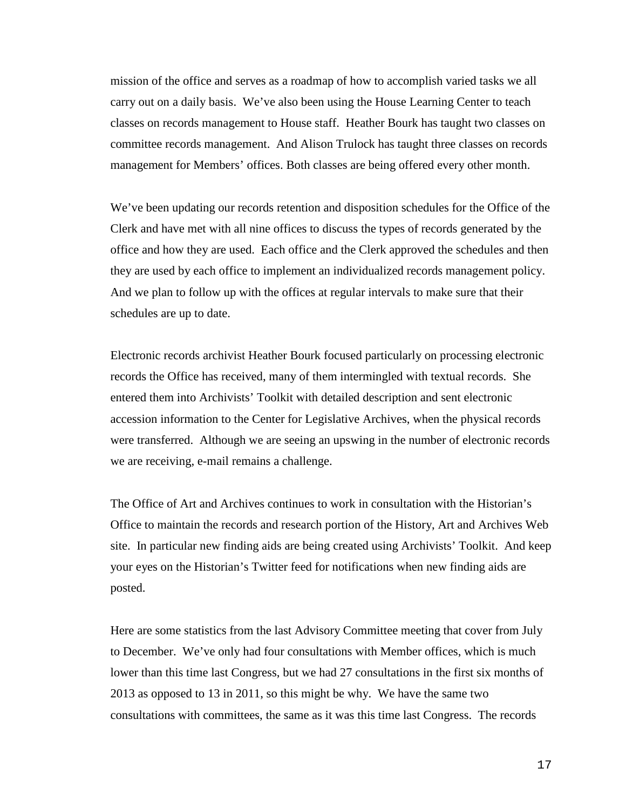mission of the office and serves as a roadmap of how to accomplish varied tasks we all carry out on a daily basis. We've also been using the House Learning Center to teach classes on records management to House staff. Heather Bourk has taught two classes on committee records management. And Alison Trulock has taught three classes on records management for Members' offices. Both classes are being offered every other month.

We've been updating our records retention and disposition schedules for the Office of the Clerk and have met with all nine offices to discuss the types of records generated by the office and how they are used. Each office and the Clerk approved the schedules and then they are used by each office to implement an individualized records management policy. And we plan to follow up with the offices at regular intervals to make sure that their schedules are up to date.

Electronic records archivist Heather Bourk focused particularly on processing electronic records the Office has received, many of them intermingled with textual records. She entered them into Archivists' Toolkit with detailed description and sent electronic accession information to the Center for Legislative Archives, when the physical records were transferred. Although we are seeing an upswing in the number of electronic records we are receiving, e-mail remains a challenge.

The Office of Art and Archives continues to work in consultation with the Historian's Office to maintain the records and research portion of the History, Art and Archives Web site. In particular new finding aids are being created using Archivists' Toolkit. And keep your eyes on the Historian's Twitter feed for notifications when new finding aids are posted.

Here are some statistics from the last Advisory Committee meeting that cover from July to December. We've only had four consultations with Member offices, which is much lower than this time last Congress, but we had 27 consultations in the first six months of 2013 as opposed to 13 in 2011, so this might be why. We have the same two consultations with committees, the same as it was this time last Congress. The records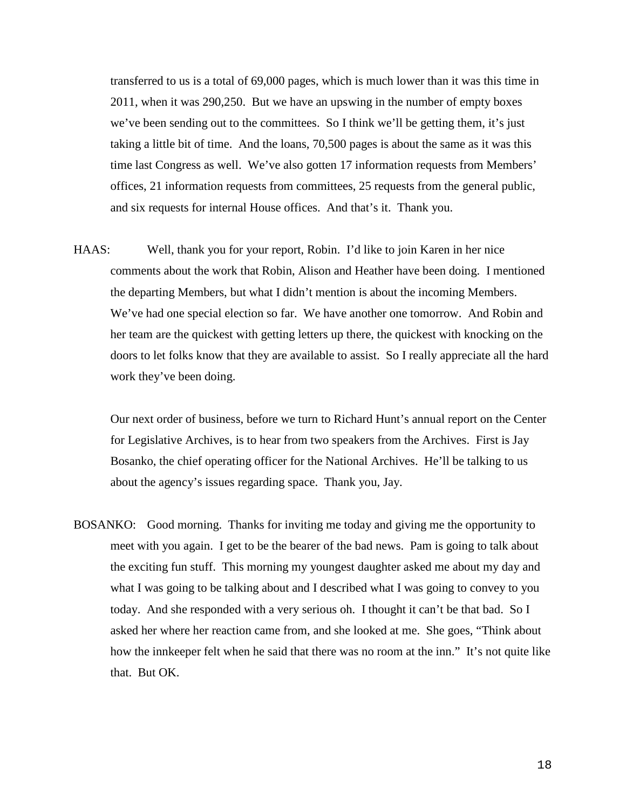transferred to us is a total of 69,000 pages, which is much lower than it was this time in 2011, when it was 290,250. But we have an upswing in the number of empty boxes we've been sending out to the committees. So I think we'll be getting them, it's just taking a little bit of time. And the loans, 70,500 pages is about the same as it was this time last Congress as well. We've also gotten 17 information requests from Members' offices, 21 information requests from committees, 25 requests from the general public, and six requests for internal House offices. And that's it. Thank you.

HAAS: Well, thank you for your report, Robin. I'd like to join Karen in her nice comments about the work that Robin, Alison and Heather have been doing. I mentioned the departing Members, but what I didn't mention is about the incoming Members. We've had one special election so far. We have another one tomorrow. And Robin and her team are the quickest with getting letters up there, the quickest with knocking on the doors to let folks know that they are available to assist. So I really appreciate all the hard work they've been doing.

Our next order of business, before we turn to Richard Hunt's annual report on the Center for Legislative Archives, is to hear from two speakers from the Archives. First is Jay Bosanko, the chief operating officer for the National Archives. He'll be talking to us about the agency's issues regarding space. Thank you, Jay.

BOSANKO: Good morning. Thanks for inviting me today and giving me the opportunity to meet with you again. I get to be the bearer of the bad news. Pam is going to talk about the exciting fun stuff. This morning my youngest daughter asked me about my day and what I was going to be talking about and I described what I was going to convey to you today. And she responded with a very serious oh. I thought it can't be that bad. So I asked her where her reaction came from, and she looked at me. She goes, "Think about how the innkeeper felt when he said that there was no room at the inn." It's not quite like that. But OK.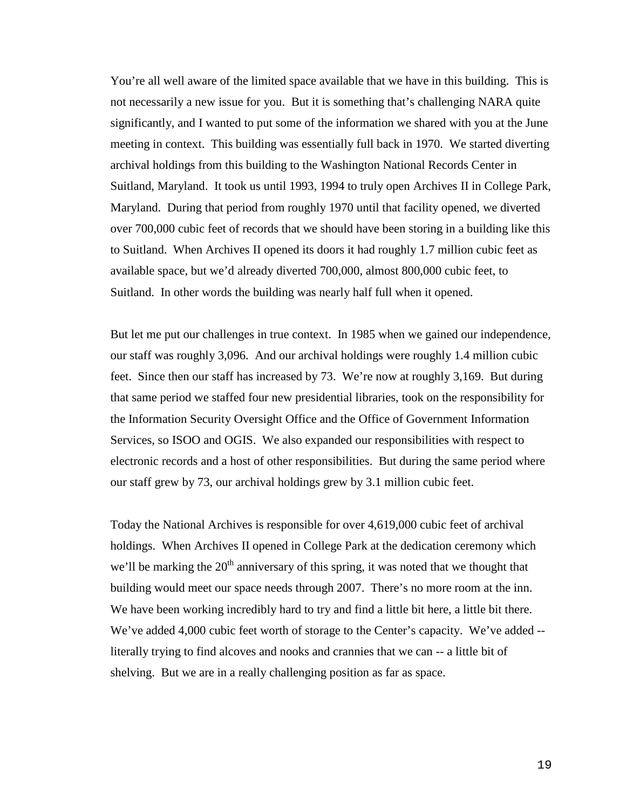You're all well aware of the limited space available that we have in this building. This is not necessarily a new issue for you. But it is something that's challenging NARA quite significantly, and I wanted to put some of the information we shared with you at the June meeting in context. This building was essentially full back in 1970. We started diverting archival holdings from this building to the Washington National Records Center in Suitland, Maryland. It took us until 1993, 1994 to truly open Archives II in College Park, Maryland. During that period from roughly 1970 until that facility opened, we diverted over 700,000 cubic feet of records that we should have been storing in a building like this to Suitland. When Archives II opened its doors it had roughly 1.7 million cubic feet as available space, but we'd already diverted 700,000, almost 800,000 cubic feet, to Suitland. In other words the building was nearly half full when it opened.

But let me put our challenges in true context. In 1985 when we gained our independence, our staff was roughly 3,096. And our archival holdings were roughly 1.4 million cubic feet. Since then our staff has increased by 73. We're now at roughly 3,169. But during that same period we staffed four new presidential libraries, took on the responsibility for the Information Security Oversight Office and the Office of Government Information Services, so ISOO and OGIS. We also expanded our responsibilities with respect to electronic records and a host of other responsibilities. But during the same period where our staff grew by 73, our archival holdings grew by 3.1 million cubic feet.

Today the National Archives is responsible for over 4,619,000 cubic feet of archival holdings. When Archives II opened in College Park at the dedication ceremony which we'll be marking the  $20<sup>th</sup>$  anniversary of this spring, it was noted that we thought that building would meet our space needs through 2007. There's no more room at the inn. We have been working incredibly hard to try and find a little bit here, a little bit there. We've added 4,000 cubic feet worth of storage to the Center's capacity. We've added -literally trying to find alcoves and nooks and crannies that we can -- a little bit of shelving. But we are in a really challenging position as far as space.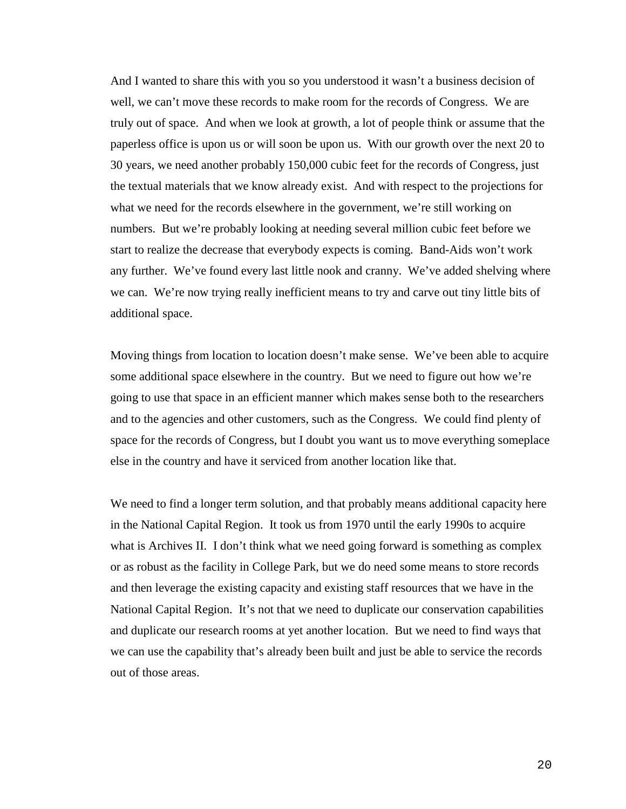And I wanted to share this with you so you understood it wasn't a business decision of well, we can't move these records to make room for the records of Congress. We are truly out of space. And when we look at growth, a lot of people think or assume that the paperless office is upon us or will soon be upon us. With our growth over the next 20 to 30 years, we need another probably 150,000 cubic feet for the records of Congress, just the textual materials that we know already exist. And with respect to the projections for what we need for the records elsewhere in the government, we're still working on numbers. But we're probably looking at needing several million cubic feet before we start to realize the decrease that everybody expects is coming. Band-Aids won't work any further. We've found every last little nook and cranny. We've added shelving where we can. We're now trying really inefficient means to try and carve out tiny little bits of additional space.

Moving things from location to location doesn't make sense. We've been able to acquire some additional space elsewhere in the country. But we need to figure out how we're going to use that space in an efficient manner which makes sense both to the researchers and to the agencies and other customers, such as the Congress. We could find plenty of space for the records of Congress, but I doubt you want us to move everything someplace else in the country and have it serviced from another location like that.

We need to find a longer term solution, and that probably means additional capacity here in the National Capital Region. It took us from 1970 until the early 1990s to acquire what is Archives II. I don't think what we need going forward is something as complex or as robust as the facility in College Park, but we do need some means to store records and then leverage the existing capacity and existing staff resources that we have in the National Capital Region. It's not that we need to duplicate our conservation capabilities and duplicate our research rooms at yet another location. But we need to find ways that we can use the capability that's already been built and just be able to service the records out of those areas.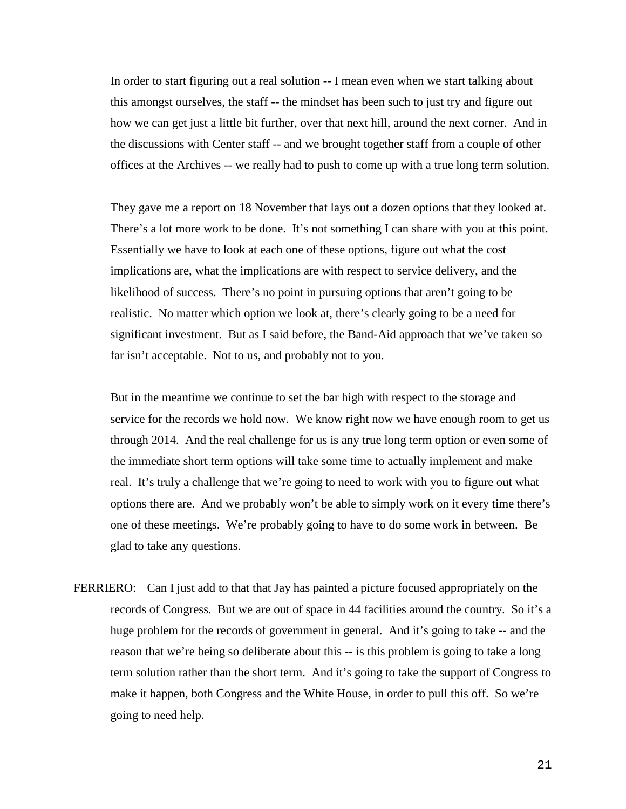In order to start figuring out a real solution -- I mean even when we start talking about this amongst ourselves, the staff -- the mindset has been such to just try and figure out how we can get just a little bit further, over that next hill, around the next corner. And in the discussions with Center staff -- and we brought together staff from a couple of other offices at the Archives -- we really had to push to come up with a true long term solution.

They gave me a report on 18 November that lays out a dozen options that they looked at. There's a lot more work to be done. It's not something I can share with you at this point. Essentially we have to look at each one of these options, figure out what the cost implications are, what the implications are with respect to service delivery, and the likelihood of success. There's no point in pursuing options that aren't going to be realistic. No matter which option we look at, there's clearly going to be a need for significant investment. But as I said before, the Band-Aid approach that we've taken so far isn't acceptable. Not to us, and probably not to you.

But in the meantime we continue to set the bar high with respect to the storage and service for the records we hold now. We know right now we have enough room to get us through 2014. And the real challenge for us is any true long term option or even some of the immediate short term options will take some time to actually implement and make real. It's truly a challenge that we're going to need to work with you to figure out what options there are. And we probably won't be able to simply work on it every time there's one of these meetings. We're probably going to have to do some work in between. Be glad to take any questions.

FERRIERO: Can I just add to that that Jay has painted a picture focused appropriately on the records of Congress. But we are out of space in 44 facilities around the country. So it's a huge problem for the records of government in general. And it's going to take -- and the reason that we're being so deliberate about this -- is this problem is going to take a long term solution rather than the short term. And it's going to take the support of Congress to make it happen, both Congress and the White House, in order to pull this off. So we're going to need help.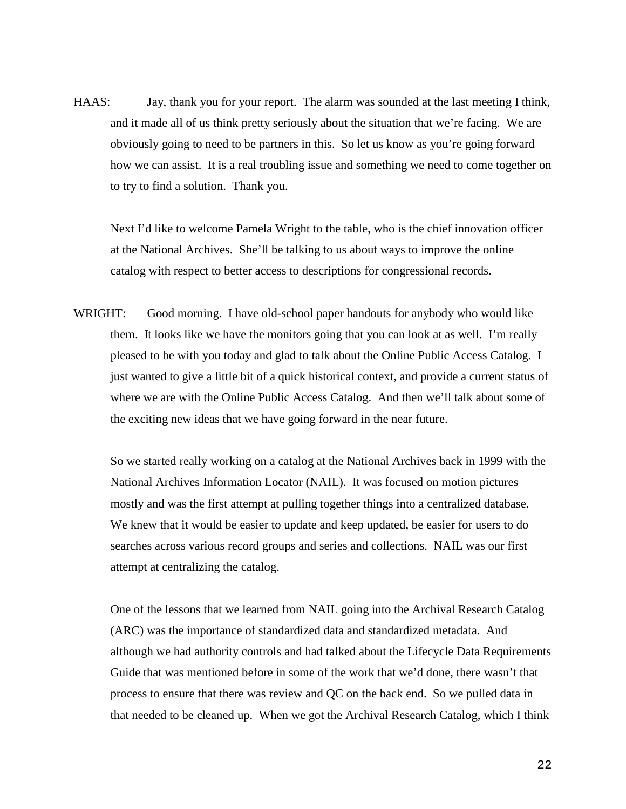HAAS: Jay, thank you for your report. The alarm was sounded at the last meeting I think, and it made all of us think pretty seriously about the situation that we're facing. We are obviously going to need to be partners in this. So let us know as you're going forward how we can assist. It is a real troubling issue and something we need to come together on to try to find a solution. Thank you.

Next I'd like to welcome Pamela Wright to the table, who is the chief innovation officer at the National Archives. She'll be talking to us about ways to improve the online catalog with respect to better access to descriptions for congressional records.

WRIGHT: Good morning. I have old-school paper handouts for anybody who would like them. It looks like we have the monitors going that you can look at as well. I'm really pleased to be with you today and glad to talk about the Online Public Access Catalog. I just wanted to give a little bit of a quick historical context, and provide a current status of where we are with the Online Public Access Catalog. And then we'll talk about some of the exciting new ideas that we have going forward in the near future.

So we started really working on a catalog at the National Archives back in 1999 with the National Archives Information Locator (NAIL). It was focused on motion pictures mostly and was the first attempt at pulling together things into a centralized database. We knew that it would be easier to update and keep updated, be easier for users to do searches across various record groups and series and collections. NAIL was our first attempt at centralizing the catalog.

One of the lessons that we learned from NAIL going into the Archival Research Catalog (ARC) was the importance of standardized data and standardized metadata. And although we had authority controls and had talked about the Lifecycle Data Requirements Guide that was mentioned before in some of the work that we'd done, there wasn't that process to ensure that there was review and QC on the back end. So we pulled data in that needed to be cleaned up. When we got the Archival Research Catalog, which I think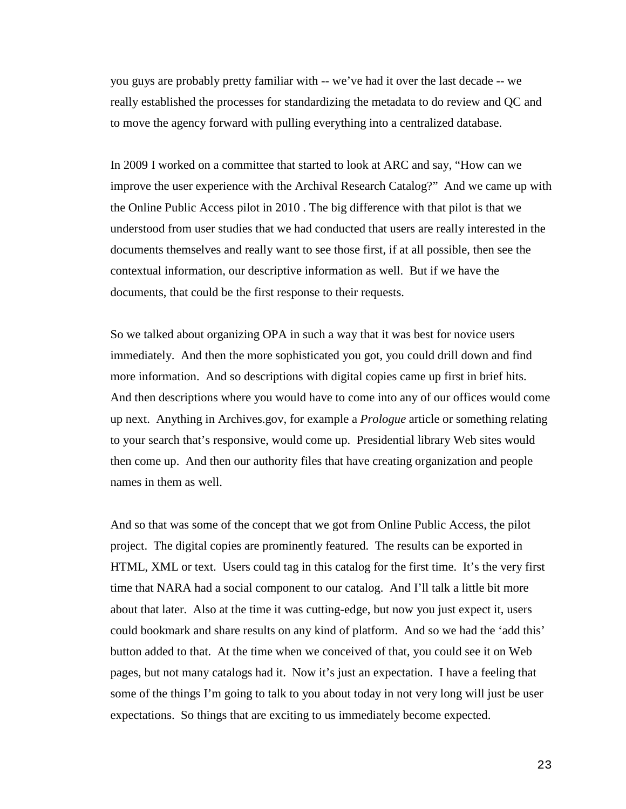you guys are probably pretty familiar with -- we've had it over the last decade -- we really established the processes for standardizing the metadata to do review and QC and to move the agency forward with pulling everything into a centralized database.

In 2009 I worked on a committee that started to look at ARC and say, "How can we improve the user experience with the Archival Research Catalog?" And we came up with the Online Public Access pilot in 2010 . The big difference with that pilot is that we understood from user studies that we had conducted that users are really interested in the documents themselves and really want to see those first, if at all possible, then see the contextual information, our descriptive information as well. But if we have the documents, that could be the first response to their requests.

So we talked about organizing OPA in such a way that it was best for novice users immediately. And then the more sophisticated you got, you could drill down and find more information. And so descriptions with digital copies came up first in brief hits. And then descriptions where you would have to come into any of our offices would come up next. Anything in Archives.gov, for example a *Prologue* article or something relating to your search that's responsive, would come up. Presidential library Web sites would then come up. And then our authority files that have creating organization and people names in them as well.

And so that was some of the concept that we got from Online Public Access, the pilot project. The digital copies are prominently featured. The results can be exported in HTML, XML or text. Users could tag in this catalog for the first time. It's the very first time that NARA had a social component to our catalog. And I'll talk a little bit more about that later. Also at the time it was cutting-edge, but now you just expect it, users could bookmark and share results on any kind of platform. And so we had the 'add this' button added to that. At the time when we conceived of that, you could see it on Web pages, but not many catalogs had it. Now it's just an expectation. I have a feeling that some of the things I'm going to talk to you about today in not very long will just be user expectations. So things that are exciting to us immediately become expected.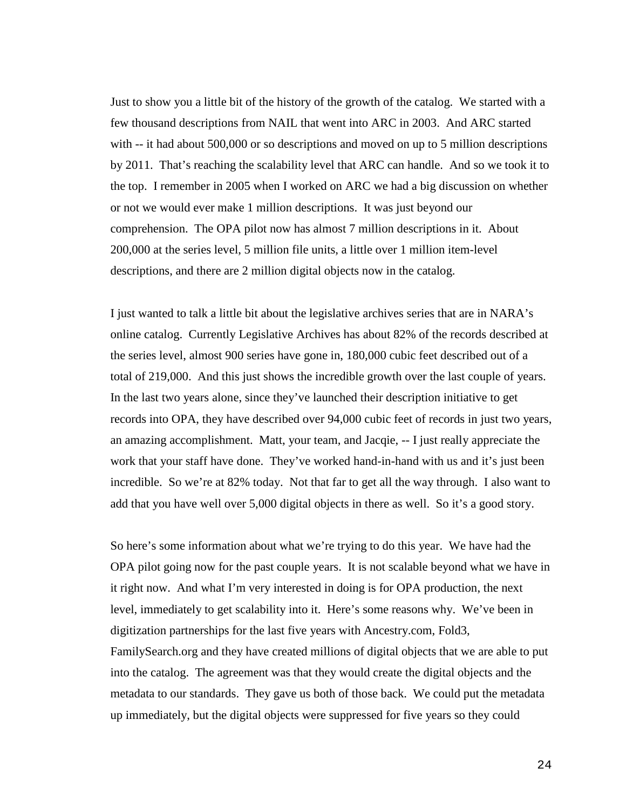Just to show you a little bit of the history of the growth of the catalog. We started with a few thousand descriptions from NAIL that went into ARC in 2003. And ARC started with  $-$  it had about 500,000 or so descriptions and moved on up to 5 million descriptions by 2011. That's reaching the scalability level that ARC can handle. And so we took it to the top. I remember in 2005 when I worked on ARC we had a big discussion on whether or not we would ever make 1 million descriptions. It was just beyond our comprehension. The OPA pilot now has almost 7 million descriptions in it. About 200,000 at the series level, 5 million file units, a little over 1 million item-level descriptions, and there are 2 million digital objects now in the catalog.

I just wanted to talk a little bit about the legislative archives series that are in NARA's online catalog. Currently Legislative Archives has about 82% of the records described at the series level, almost 900 series have gone in, 180,000 cubic feet described out of a total of 219,000. And this just shows the incredible growth over the last couple of years. In the last two years alone, since they've launched their description initiative to get records into OPA, they have described over 94,000 cubic feet of records in just two years, an amazing accomplishment. Matt, your team, and Jacqie, -- I just really appreciate the work that your staff have done. They've worked hand-in-hand with us and it's just been incredible. So we're at 82% today. Not that far to get all the way through. I also want to add that you have well over 5,000 digital objects in there as well. So it's a good story.

So here's some information about what we're trying to do this year. We have had the OPA pilot going now for the past couple years. It is not scalable beyond what we have in it right now. And what I'm very interested in doing is for OPA production, the next level, immediately to get scalability into it. Here's some reasons why. We've been in digitization partnerships for the last five years with Ancestry.com, Fold3, FamilySearch.org and they have created millions of digital objects that we are able to put into the catalog. The agreement was that they would create the digital objects and the metadata to our standards. They gave us both of those back. We could put the metadata up immediately, but the digital objects were suppressed for five years so they could

24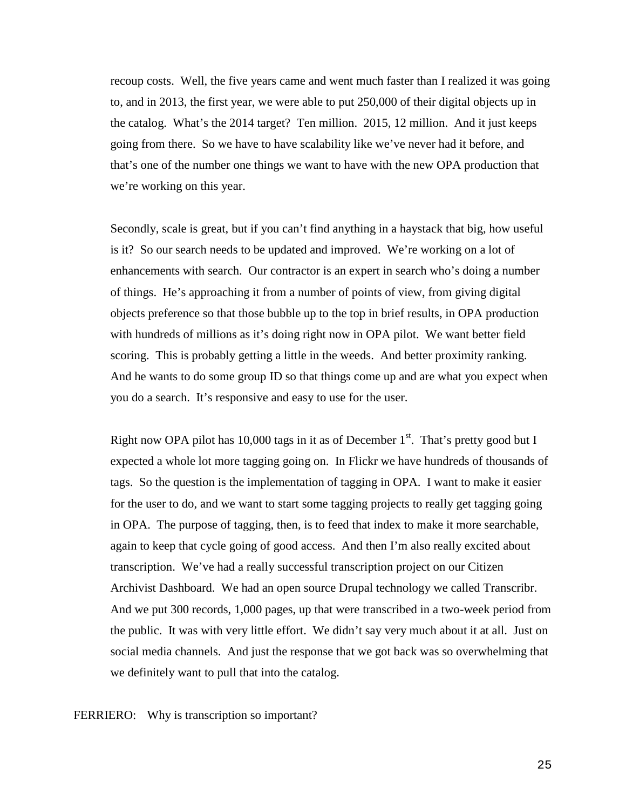recoup costs. Well, the five years came and went much faster than I realized it was going to, and in 2013, the first year, we were able to put 250,000 of their digital objects up in the catalog. What's the 2014 target? Ten million. 2015, 12 million. And it just keeps going from there. So we have to have scalability like we've never had it before, and that's one of the number one things we want to have with the new OPA production that we're working on this year.

Secondly, scale is great, but if you can't find anything in a haystack that big, how useful is it? So our search needs to be updated and improved. We're working on a lot of enhancements with search. Our contractor is an expert in search who's doing a number of things. He's approaching it from a number of points of view, from giving digital objects preference so that those bubble up to the top in brief results, in OPA production with hundreds of millions as it's doing right now in OPA pilot. We want better field scoring. This is probably getting a little in the weeds. And better proximity ranking. And he wants to do some group ID so that things come up and are what you expect when you do a search. It's responsive and easy to use for the user.

Right now OPA pilot has  $10,000$  tags in it as of December  $1<sup>st</sup>$ . That's pretty good but I expected a whole lot more tagging going on. In Flickr we have hundreds of thousands of tags. So the question is the implementation of tagging in OPA. I want to make it easier for the user to do, and we want to start some tagging projects to really get tagging going in OPA. The purpose of tagging, then, is to feed that index to make it more searchable, again to keep that cycle going of good access. And then I'm also really excited about transcription. We've had a really successful transcription project on our Citizen Archivist Dashboard. We had an open source Drupal technology we called Transcribr. And we put 300 records, 1,000 pages, up that were transcribed in a two-week period from the public. It was with very little effort. We didn't say very much about it at all. Just on social media channels. And just the response that we got back was so overwhelming that we definitely want to pull that into the catalog.

FERRIERO: Why is transcription so important?

25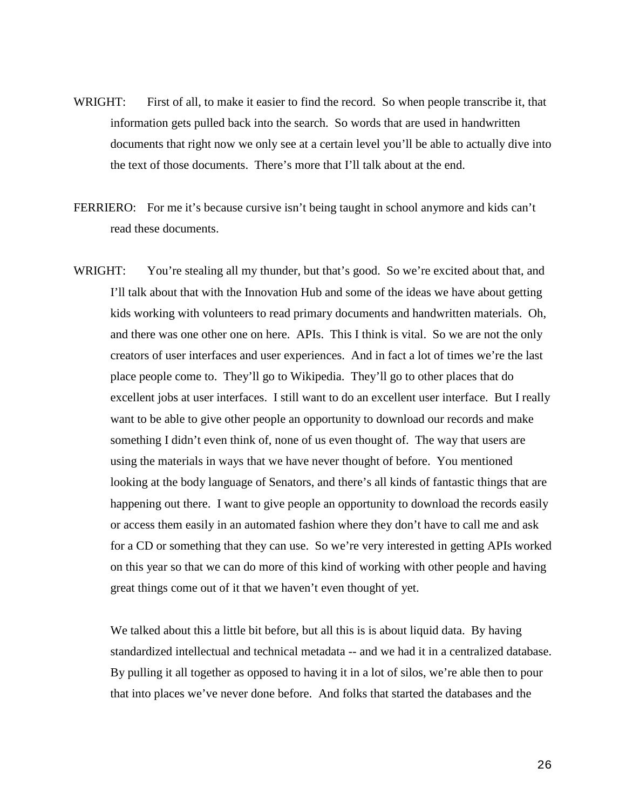- WRIGHT: First of all, to make it easier to find the record. So when people transcribe it, that information gets pulled back into the search. So words that are used in handwritten documents that right now we only see at a certain level you'll be able to actually dive into the text of those documents. There's more that I'll talk about at the end.
- FERRIERO: For me it's because cursive isn't being taught in school anymore and kids can't read these documents.
- WRIGHT: You're stealing all my thunder, but that's good. So we're excited about that, and I'll talk about that with the Innovation Hub and some of the ideas we have about getting kids working with volunteers to read primary documents and handwritten materials. Oh, and there was one other one on here. APIs. This I think is vital. So we are not the only creators of user interfaces and user experiences. And in fact a lot of times we're the last place people come to. They'll go to Wikipedia. They'll go to other places that do excellent jobs at user interfaces. I still want to do an excellent user interface. But I really want to be able to give other people an opportunity to download our records and make something I didn't even think of, none of us even thought of. The way that users are using the materials in ways that we have never thought of before. You mentioned looking at the body language of Senators, and there's all kinds of fantastic things that are happening out there. I want to give people an opportunity to download the records easily or access them easily in an automated fashion where they don't have to call me and ask for a CD or something that they can use. So we're very interested in getting APIs worked on this year so that we can do more of this kind of working with other people and having great things come out of it that we haven't even thought of yet.

We talked about this a little bit before, but all this is is about liquid data. By having standardized intellectual and technical metadata -- and we had it in a centralized database. By pulling it all together as opposed to having it in a lot of silos, we're able then to pour that into places we've never done before. And folks that started the databases and the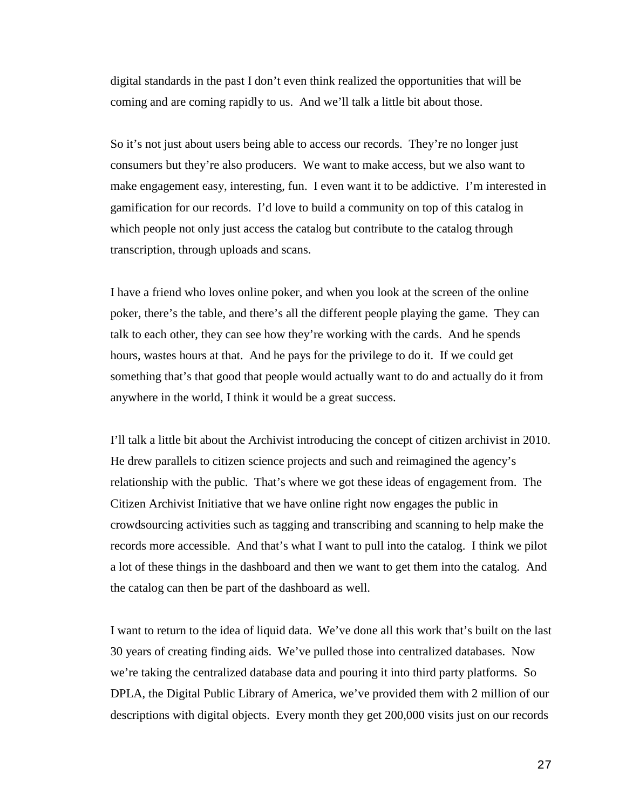digital standards in the past I don't even think realized the opportunities that will be coming and are coming rapidly to us. And we'll talk a little bit about those.

So it's not just about users being able to access our records. They're no longer just consumers but they're also producers. We want to make access, but we also want to make engagement easy, interesting, fun. I even want it to be addictive. I'm interested in gamification for our records. I'd love to build a community on top of this catalog in which people not only just access the catalog but contribute to the catalog through transcription, through uploads and scans.

I have a friend who loves online poker, and when you look at the screen of the online poker, there's the table, and there's all the different people playing the game. They can talk to each other, they can see how they're working with the cards. And he spends hours, wastes hours at that. And he pays for the privilege to do it. If we could get something that's that good that people would actually want to do and actually do it from anywhere in the world, I think it would be a great success.

I'll talk a little bit about the Archivist introducing the concept of citizen archivist in 2010. He drew parallels to citizen science projects and such and reimagined the agency's relationship with the public. That's where we got these ideas of engagement from. The Citizen Archivist Initiative that we have online right now engages the public in crowdsourcing activities such as tagging and transcribing and scanning to help make the records more accessible. And that's what I want to pull into the catalog. I think we pilot a lot of these things in the dashboard and then we want to get them into the catalog. And the catalog can then be part of the dashboard as well.

I want to return to the idea of liquid data. We've done all this work that's built on the last 30 years of creating finding aids. We've pulled those into centralized databases. Now we're taking the centralized database data and pouring it into third party platforms. So DPLA, the Digital Public Library of America, we've provided them with 2 million of our descriptions with digital objects. Every month they get 200,000 visits just on our records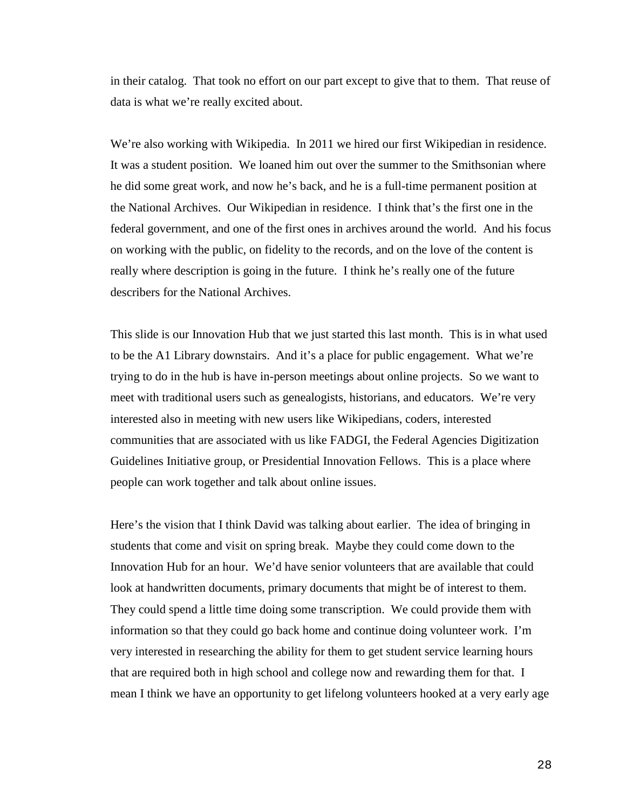in their catalog. That took no effort on our part except to give that to them. That reuse of data is what we're really excited about.

We're also working with Wikipedia. In 2011 we hired our first Wikipedian in residence. It was a student position. We loaned him out over the summer to the Smithsonian where he did some great work, and now he's back, and he is a full-time permanent position at the National Archives. Our Wikipedian in residence. I think that's the first one in the federal government, and one of the first ones in archives around the world. And his focus on working with the public, on fidelity to the records, and on the love of the content is really where description is going in the future. I think he's really one of the future describers for the National Archives.

This slide is our Innovation Hub that we just started this last month. This is in what used to be the A1 Library downstairs. And it's a place for public engagement. What we're trying to do in the hub is have in-person meetings about online projects. So we want to meet with traditional users such as genealogists, historians, and educators. We're very interested also in meeting with new users like Wikipedians, coders, interested communities that are associated with us like FADGI, the Federal Agencies Digitization Guidelines Initiative group, or Presidential Innovation Fellows. This is a place where people can work together and talk about online issues.

Here's the vision that I think David was talking about earlier. The idea of bringing in students that come and visit on spring break. Maybe they could come down to the Innovation Hub for an hour. We'd have senior volunteers that are available that could look at handwritten documents, primary documents that might be of interest to them. They could spend a little time doing some transcription. We could provide them with information so that they could go back home and continue doing volunteer work. I'm very interested in researching the ability for them to get student service learning hours that are required both in high school and college now and rewarding them for that. I mean I think we have an opportunity to get lifelong volunteers hooked at a very early age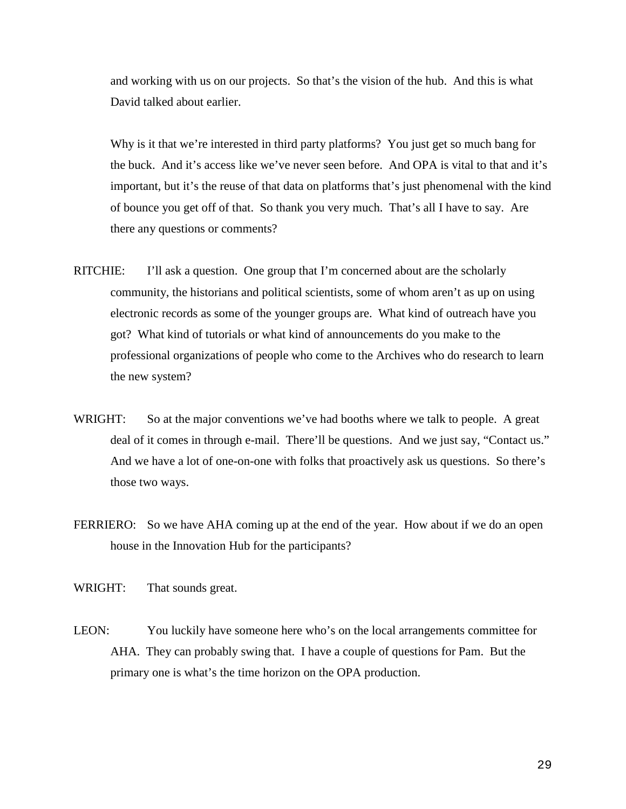and working with us on our projects. So that's the vision of the hub. And this is what David talked about earlier.

Why is it that we're interested in third party platforms? You just get so much bang for the buck. And it's access like we've never seen before. And OPA is vital to that and it's important, but it's the reuse of that data on platforms that's just phenomenal with the kind of bounce you get off of that. So thank you very much. That's all I have to say. Are there any questions or comments?

- RITCHIE: I'll ask a question. One group that I'm concerned about are the scholarly community, the historians and political scientists, some of whom aren't as up on using electronic records as some of the younger groups are. What kind of outreach have you got? What kind of tutorials or what kind of announcements do you make to the professional organizations of people who come to the Archives who do research to learn the new system?
- WRIGHT: So at the major conventions we've had booths where we talk to people. A great deal of it comes in through e-mail. There'll be questions. And we just say, "Contact us." And we have a lot of one-on-one with folks that proactively ask us questions. So there's those two ways.
- FERRIERO: So we have AHA coming up at the end of the year. How about if we do an open house in the Innovation Hub for the participants?

WRIGHT: That sounds great.

LEON: You luckily have someone here who's on the local arrangements committee for AHA. They can probably swing that. I have a couple of questions for Pam. But the primary one is what's the time horizon on the OPA production.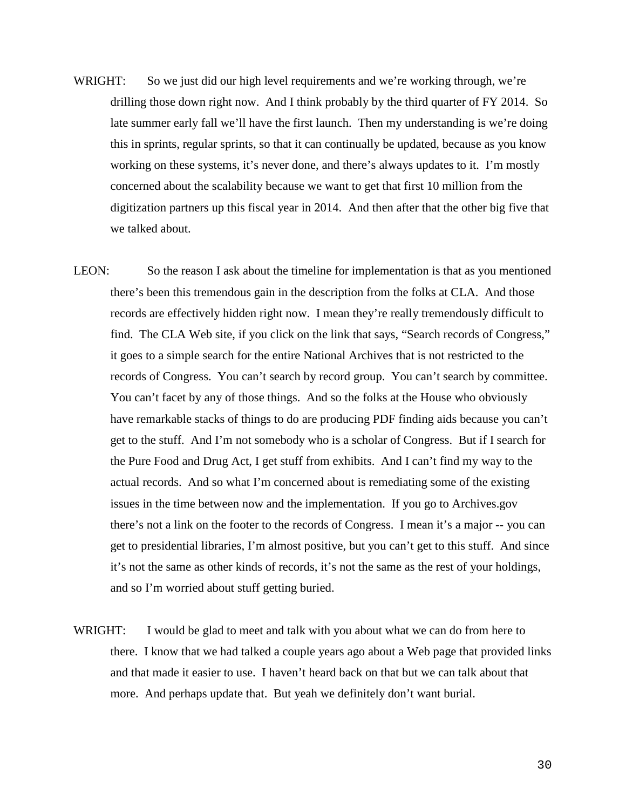- WRIGHT: So we just did our high level requirements and we're working through, we're drilling those down right now. And I think probably by the third quarter of FY 2014. So late summer early fall we'll have the first launch. Then my understanding is we're doing this in sprints, regular sprints, so that it can continually be updated, because as you know working on these systems, it's never done, and there's always updates to it. I'm mostly concerned about the scalability because we want to get that first 10 million from the digitization partners up this fiscal year in 2014. And then after that the other big five that we talked about.
- LEON: So the reason I ask about the timeline for implementation is that as you mentioned there's been this tremendous gain in the description from the folks at CLA. And those records are effectively hidden right now. I mean they're really tremendously difficult to find. The CLA Web site, if you click on the link that says, "Search records of Congress," it goes to a simple search for the entire National Archives that is not restricted to the records of Congress. You can't search by record group. You can't search by committee. You can't facet by any of those things. And so the folks at the House who obviously have remarkable stacks of things to do are producing PDF finding aids because you can't get to the stuff. And I'm not somebody who is a scholar of Congress. But if I search for the Pure Food and Drug Act, I get stuff from exhibits. And I can't find my way to the actual records. And so what I'm concerned about is remediating some of the existing issues in the time between now and the implementation. If you go to Archives.gov there's not a link on the footer to the records of Congress. I mean it's a major -- you can get to presidential libraries, I'm almost positive, but you can't get to this stuff. And since it's not the same as other kinds of records, it's not the same as the rest of your holdings, and so I'm worried about stuff getting buried.
- WRIGHT: I would be glad to meet and talk with you about what we can do from here to there. I know that we had talked a couple years ago about a Web page that provided links and that made it easier to use. I haven't heard back on that but we can talk about that more. And perhaps update that. But yeah we definitely don't want burial.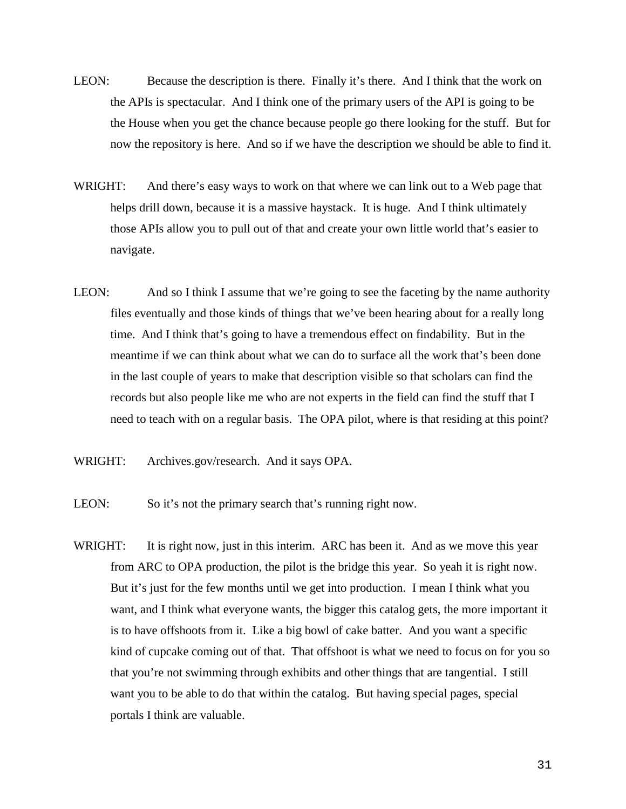- LEON: Because the description is there. Finally it's there. And I think that the work on the APIs is spectacular. And I think one of the primary users of the API is going to be the House when you get the chance because people go there looking for the stuff. But for now the repository is here. And so if we have the description we should be able to find it.
- WRIGHT: And there's easy ways to work on that where we can link out to a Web page that helps drill down, because it is a massive haystack. It is huge. And I think ultimately those APIs allow you to pull out of that and create your own little world that's easier to navigate.
- LEON: And so I think I assume that we're going to see the faceting by the name authority files eventually and those kinds of things that we've been hearing about for a really long time. And I think that's going to have a tremendous effect on findability. But in the meantime if we can think about what we can do to surface all the work that's been done in the last couple of years to make that description visible so that scholars can find the records but also people like me who are not experts in the field can find the stuff that I need to teach with on a regular basis. The OPA pilot, where is that residing at this point?
- WRIGHT: Archives.gov/research. And it says OPA.
- LEON: So it's not the primary search that's running right now.
- WRIGHT: It is right now, just in this interim. ARC has been it. And as we move this year from ARC to OPA production, the pilot is the bridge this year. So yeah it is right now. But it's just for the few months until we get into production. I mean I think what you want, and I think what everyone wants, the bigger this catalog gets, the more important it is to have offshoots from it. Like a big bowl of cake batter. And you want a specific kind of cupcake coming out of that. That offshoot is what we need to focus on for you so that you're not swimming through exhibits and other things that are tangential. I still want you to be able to do that within the catalog. But having special pages, special portals I think are valuable.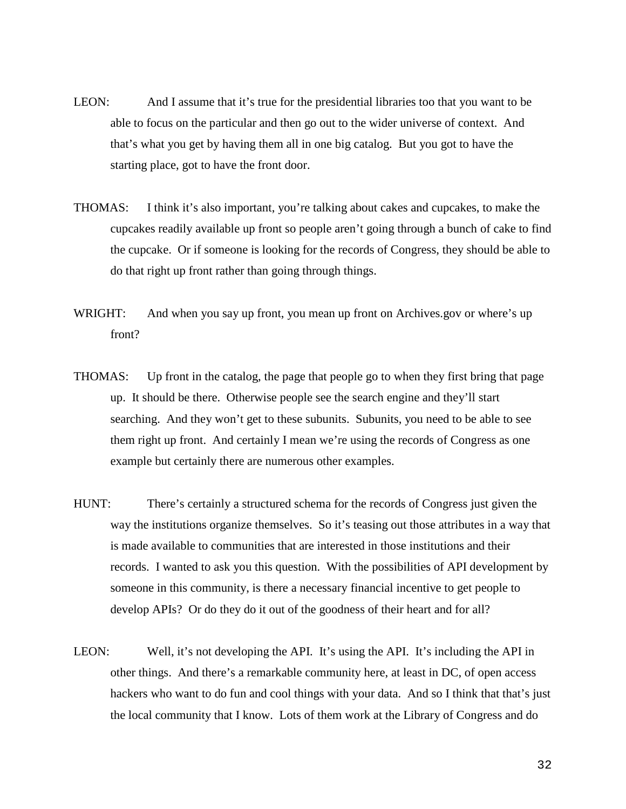- LEON: And I assume that it's true for the presidential libraries too that you want to be able to focus on the particular and then go out to the wider universe of context. And that's what you get by having them all in one big catalog. But you got to have the starting place, got to have the front door.
- THOMAS: I think it's also important, you're talking about cakes and cupcakes, to make the cupcakes readily available up front so people aren't going through a bunch of cake to find the cupcake. Or if someone is looking for the records of Congress, they should be able to do that right up front rather than going through things.
- WRIGHT: And when you say up front, you mean up front on Archives.gov or where's up front?
- THOMAS: Up front in the catalog, the page that people go to when they first bring that page up. It should be there. Otherwise people see the search engine and they'll start searching. And they won't get to these subunits. Subunits, you need to be able to see them right up front. And certainly I mean we're using the records of Congress as one example but certainly there are numerous other examples.
- HUNT: There's certainly a structured schema for the records of Congress just given the way the institutions organize themselves. So it's teasing out those attributes in a way that is made available to communities that are interested in those institutions and their records. I wanted to ask you this question. With the possibilities of API development by someone in this community, is there a necessary financial incentive to get people to develop APIs? Or do they do it out of the goodness of their heart and for all?
- LEON: Well, it's not developing the API. It's using the API. It's including the API in other things. And there's a remarkable community here, at least in DC, of open access hackers who want to do fun and cool things with your data. And so I think that that's just the local community that I know. Lots of them work at the Library of Congress and do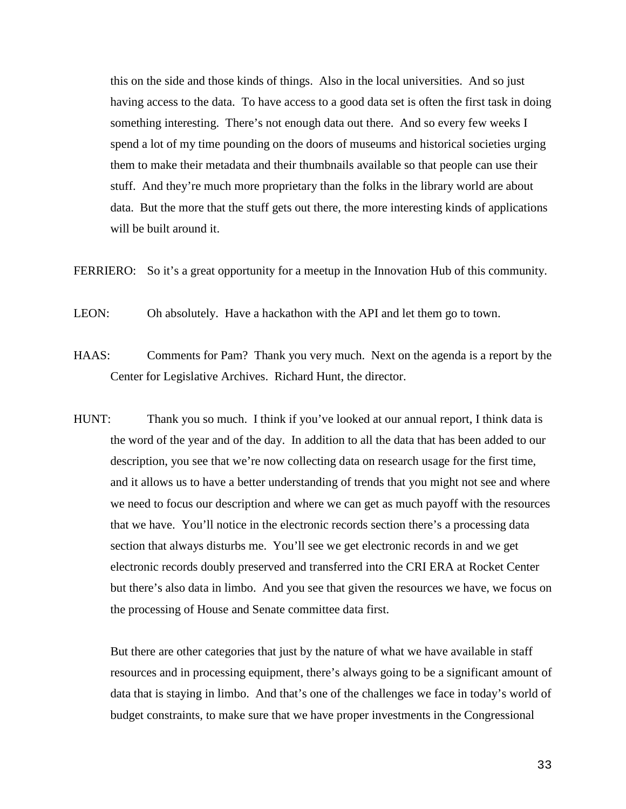this on the side and those kinds of things. Also in the local universities. And so just having access to the data. To have access to a good data set is often the first task in doing something interesting. There's not enough data out there. And so every few weeks I spend a lot of my time pounding on the doors of museums and historical societies urging them to make their metadata and their thumbnails available so that people can use their stuff. And they're much more proprietary than the folks in the library world are about data. But the more that the stuff gets out there, the more interesting kinds of applications will be built around it.

FERRIERO: So it's a great opportunity for a meetup in the Innovation Hub of this community.

LEON: Oh absolutely. Have a hackathon with the API and let them go to town.

- HAAS: Comments for Pam? Thank you very much. Next on the agenda is a report by the Center for Legislative Archives. Richard Hunt, the director.
- HUNT: Thank you so much. I think if you've looked at our annual report, I think data is the word of the year and of the day. In addition to all the data that has been added to our description, you see that we're now collecting data on research usage for the first time, and it allows us to have a better understanding of trends that you might not see and where we need to focus our description and where we can get as much payoff with the resources that we have. You'll notice in the electronic records section there's a processing data section that always disturbs me. You'll see we get electronic records in and we get electronic records doubly preserved and transferred into the CRI ERA at Rocket Center but there's also data in limbo. And you see that given the resources we have, we focus on the processing of House and Senate committee data first.

But there are other categories that just by the nature of what we have available in staff resources and in processing equipment, there's always going to be a significant amount of data that is staying in limbo. And that's one of the challenges we face in today's world of budget constraints, to make sure that we have proper investments in the Congressional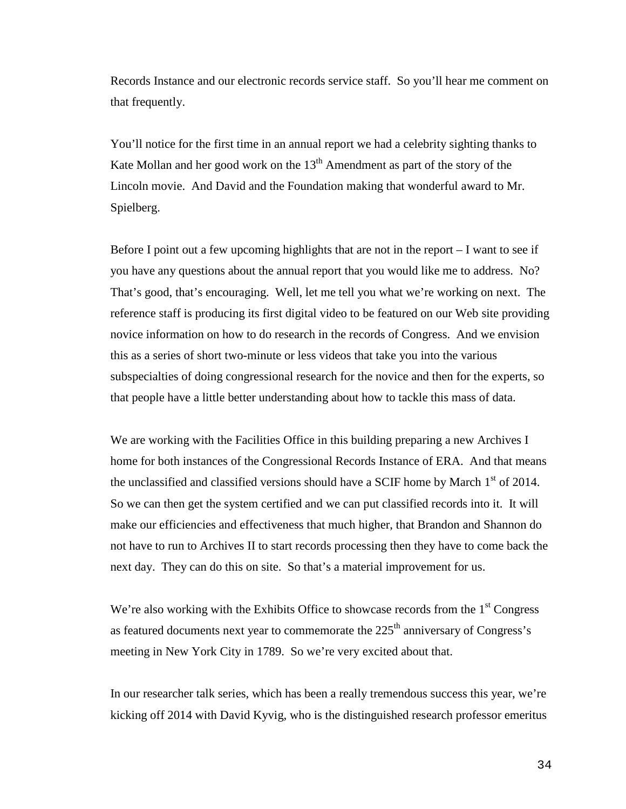Records Instance and our electronic records service staff. So you'll hear me comment on that frequently.

You'll notice for the first time in an annual report we had a celebrity sighting thanks to Kate Mollan and her good work on the  $13<sup>th</sup>$  Amendment as part of the story of the Lincoln movie. And David and the Foundation making that wonderful award to Mr. Spielberg.

Before I point out a few upcoming highlights that are not in the report – I want to see if you have any questions about the annual report that you would like me to address. No? That's good, that's encouraging. Well, let me tell you what we're working on next. The reference staff is producing its first digital video to be featured on our Web site providing novice information on how to do research in the records of Congress. And we envision this as a series of short two-minute or less videos that take you into the various subspecialties of doing congressional research for the novice and then for the experts, so that people have a little better understanding about how to tackle this mass of data.

We are working with the Facilities Office in this building preparing a new Archives I home for both instances of the Congressional Records Instance of ERA. And that means the unclassified and classified versions should have a SCIF home by March  $1<sup>st</sup>$  of 2014. So we can then get the system certified and we can put classified records into it. It will make our efficiencies and effectiveness that much higher, that Brandon and Shannon do not have to run to Archives II to start records processing then they have to come back the next day. They can do this on site. So that's a material improvement for us.

We're also working with the Exhibits Office to showcase records from the  $1<sup>st</sup>$  Congress as featured documents next year to commemorate the  $225<sup>th</sup>$  anniversary of Congress's meeting in New York City in 1789. So we're very excited about that.

In our researcher talk series, which has been a really tremendous success this year, we're kicking off 2014 with David Kyvig, who is the distinguished research professor emeritus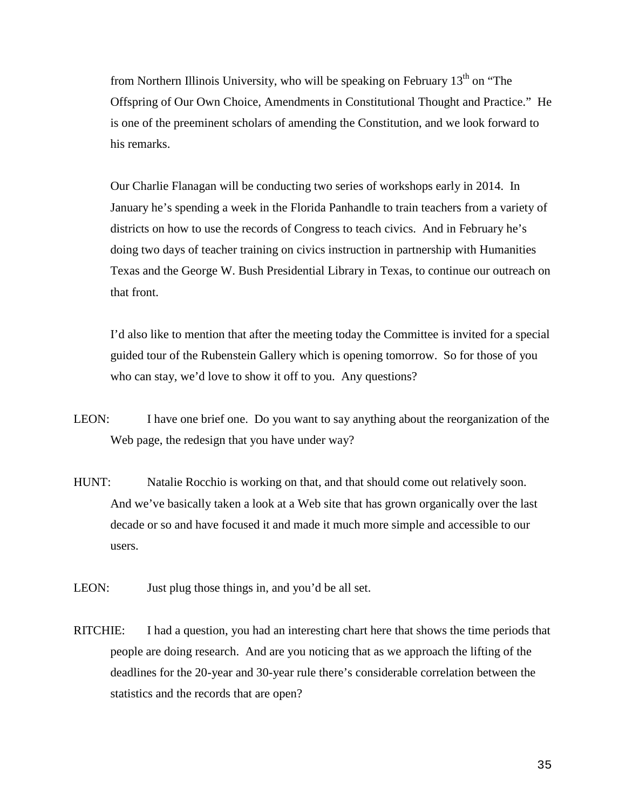from Northern Illinois University, who will be speaking on February  $13<sup>th</sup>$  on "The Offspring of Our Own Choice, Amendments in Constitutional Thought and Practice." He is one of the preeminent scholars of amending the Constitution, and we look forward to his remarks.

Our Charlie Flanagan will be conducting two series of workshops early in 2014. In January he's spending a week in the Florida Panhandle to train teachers from a variety of districts on how to use the records of Congress to teach civics. And in February he's doing two days of teacher training on civics instruction in partnership with Humanities Texas and the George W. Bush Presidential Library in Texas, to continue our outreach on that front.

I'd also like to mention that after the meeting today the Committee is invited for a special guided tour of the Rubenstein Gallery which is opening tomorrow. So for those of you who can stay, we'd love to show it off to you. Any questions?

- LEON: I have one brief one. Do you want to say anything about the reorganization of the Web page, the redesign that you have under way?
- HUNT: Natalie Rocchio is working on that, and that should come out relatively soon. And we've basically taken a look at a Web site that has grown organically over the last decade or so and have focused it and made it much more simple and accessible to our users.
- LEON: Just plug those things in, and you'd be all set.
- RITCHIE: I had a question, you had an interesting chart here that shows the time periods that people are doing research. And are you noticing that as we approach the lifting of the deadlines for the 20-year and 30-year rule there's considerable correlation between the statistics and the records that are open?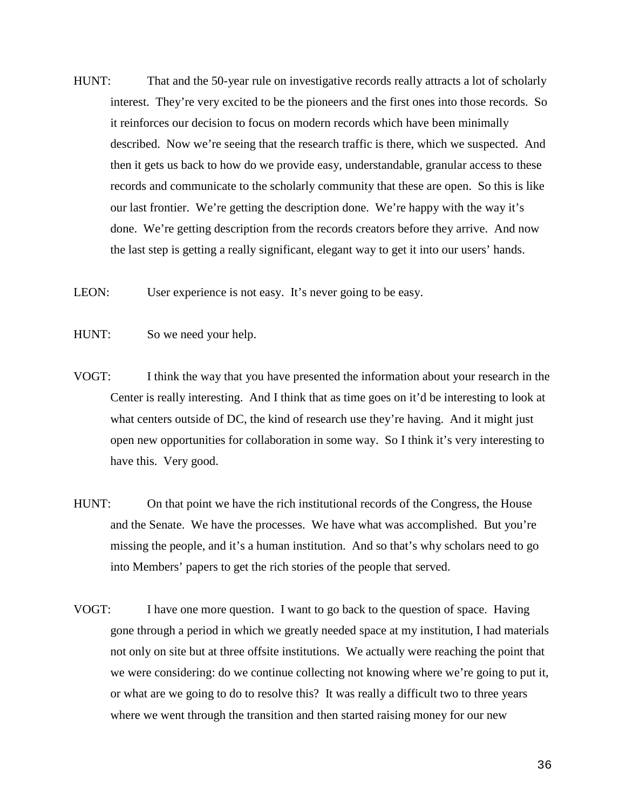- HUNT: That and the 50-year rule on investigative records really attracts a lot of scholarly interest. They're very excited to be the pioneers and the first ones into those records. So it reinforces our decision to focus on modern records which have been minimally described. Now we're seeing that the research traffic is there, which we suspected. And then it gets us back to how do we provide easy, understandable, granular access to these records and communicate to the scholarly community that these are open. So this is like our last frontier. We're getting the description done. We're happy with the way it's done. We're getting description from the records creators before they arrive. And now the last step is getting a really significant, elegant way to get it into our users' hands.
- LEON: User experience is not easy. It's never going to be easy.
- HUNT: So we need your help.
- VOGT: I think the way that you have presented the information about your research in the Center is really interesting. And I think that as time goes on it'd be interesting to look at what centers outside of DC, the kind of research use they're having. And it might just open new opportunities for collaboration in some way. So I think it's very interesting to have this. Very good.
- HUNT: On that point we have the rich institutional records of the Congress, the House and the Senate. We have the processes. We have what was accomplished. But you're missing the people, and it's a human institution. And so that's why scholars need to go into Members' papers to get the rich stories of the people that served.
- VOGT: I have one more question. I want to go back to the question of space. Having gone through a period in which we greatly needed space at my institution, I had materials not only on site but at three offsite institutions. We actually were reaching the point that we were considering: do we continue collecting not knowing where we're going to put it, or what are we going to do to resolve this? It was really a difficult two to three years where we went through the transition and then started raising money for our new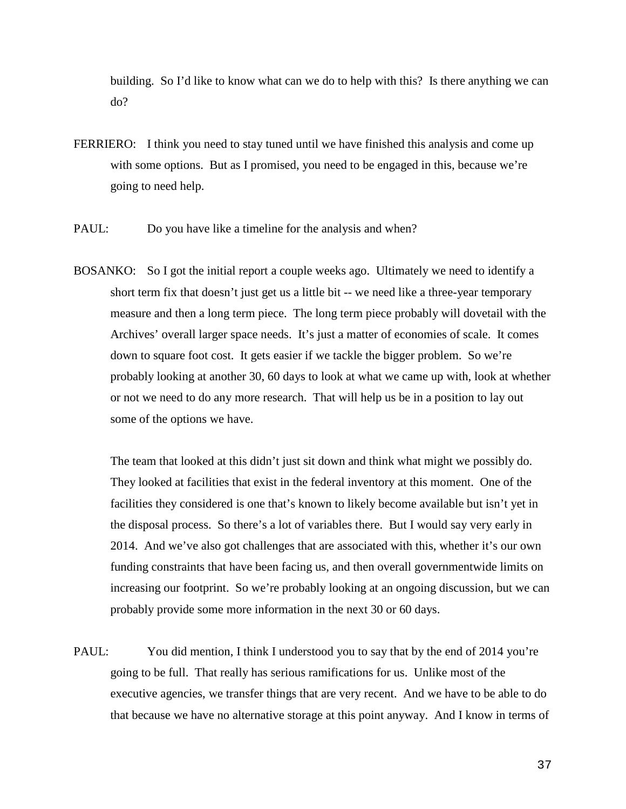building. So I'd like to know what can we do to help with this? Is there anything we can do?

- FERRIERO: I think you need to stay tuned until we have finished this analysis and come up with some options. But as I promised, you need to be engaged in this, because we're going to need help.
- PAUL: Do you have like a timeline for the analysis and when?
- BOSANKO: So I got the initial report a couple weeks ago. Ultimately we need to identify a short term fix that doesn't just get us a little bit -- we need like a three-year temporary measure and then a long term piece. The long term piece probably will dovetail with the Archives' overall larger space needs. It's just a matter of economies of scale. It comes down to square foot cost. It gets easier if we tackle the bigger problem. So we're probably looking at another 30, 60 days to look at what we came up with, look at whether or not we need to do any more research. That will help us be in a position to lay out some of the options we have.

The team that looked at this didn't just sit down and think what might we possibly do. They looked at facilities that exist in the federal inventory at this moment. One of the facilities they considered is one that's known to likely become available but isn't yet in the disposal process. So there's a lot of variables there. But I would say very early in 2014. And we've also got challenges that are associated with this, whether it's our own funding constraints that have been facing us, and then overall governmentwide limits on increasing our footprint. So we're probably looking at an ongoing discussion, but we can probably provide some more information in the next 30 or 60 days.

PAUL: You did mention, I think I understood you to say that by the end of 2014 you're going to be full. That really has serious ramifications for us. Unlike most of the executive agencies, we transfer things that are very recent. And we have to be able to do that because we have no alternative storage at this point anyway. And I know in terms of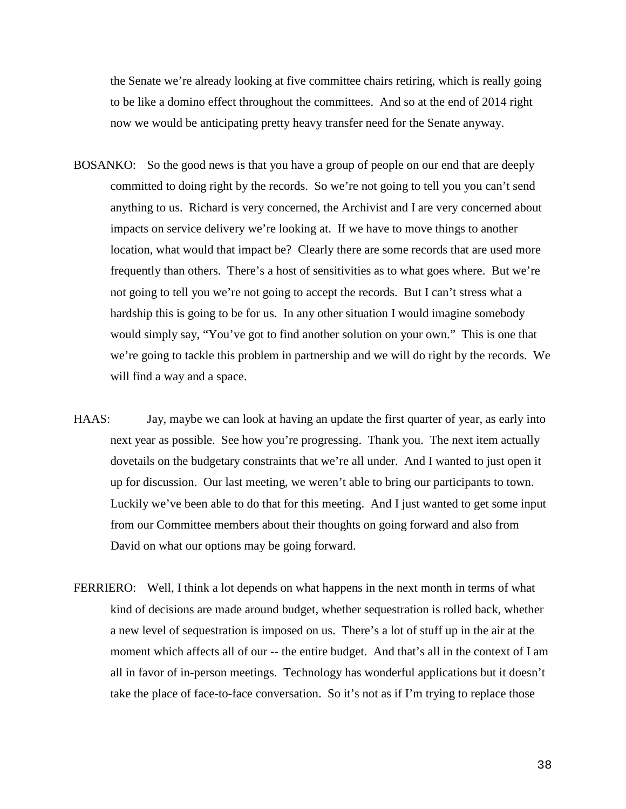the Senate we're already looking at five committee chairs retiring, which is really going to be like a domino effect throughout the committees. And so at the end of 2014 right now we would be anticipating pretty heavy transfer need for the Senate anyway.

- BOSANKO: So the good news is that you have a group of people on our end that are deeply committed to doing right by the records. So we're not going to tell you you can't send anything to us. Richard is very concerned, the Archivist and I are very concerned about impacts on service delivery we're looking at. If we have to move things to another location, what would that impact be? Clearly there are some records that are used more frequently than others. There's a host of sensitivities as to what goes where. But we're not going to tell you we're not going to accept the records. But I can't stress what a hardship this is going to be for us. In any other situation I would imagine somebody would simply say, "You've got to find another solution on your own." This is one that we're going to tackle this problem in partnership and we will do right by the records. We will find a way and a space.
- HAAS: Jay, maybe we can look at having an update the first quarter of year, as early into next year as possible. See how you're progressing. Thank you. The next item actually dovetails on the budgetary constraints that we're all under. And I wanted to just open it up for discussion. Our last meeting, we weren't able to bring our participants to town. Luckily we've been able to do that for this meeting. And I just wanted to get some input from our Committee members about their thoughts on going forward and also from David on what our options may be going forward.
- FERRIERO: Well, I think a lot depends on what happens in the next month in terms of what kind of decisions are made around budget, whether sequestration is rolled back, whether a new level of sequestration is imposed on us. There's a lot of stuff up in the air at the moment which affects all of our -- the entire budget. And that's all in the context of I am all in favor of in-person meetings. Technology has wonderful applications but it doesn't take the place of face-to-face conversation. So it's not as if I'm trying to replace those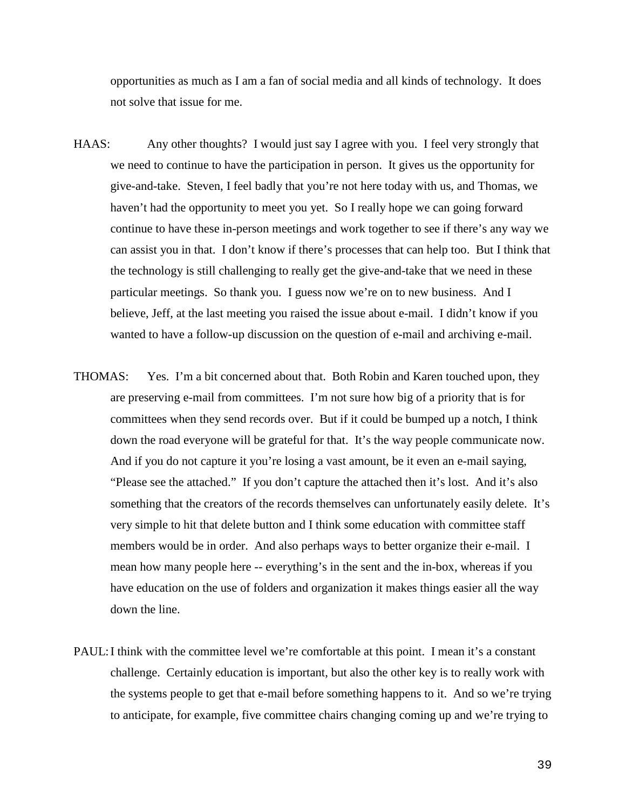opportunities as much as I am a fan of social media and all kinds of technology. It does not solve that issue for me.

- HAAS: Any other thoughts? I would just say I agree with you. I feel very strongly that we need to continue to have the participation in person. It gives us the opportunity for give-and-take. Steven, I feel badly that you're not here today with us, and Thomas, we haven't had the opportunity to meet you yet. So I really hope we can going forward continue to have these in-person meetings and work together to see if there's any way we can assist you in that. I don't know if there's processes that can help too. But I think that the technology is still challenging to really get the give-and-take that we need in these particular meetings. So thank you. I guess now we're on to new business. And I believe, Jeff, at the last meeting you raised the issue about e-mail. I didn't know if you wanted to have a follow-up discussion on the question of e-mail and archiving e-mail.
- THOMAS: Yes. I'm a bit concerned about that. Both Robin and Karen touched upon, they are preserving e-mail from committees. I'm not sure how big of a priority that is for committees when they send records over. But if it could be bumped up a notch, I think down the road everyone will be grateful for that. It's the way people communicate now. And if you do not capture it you're losing a vast amount, be it even an e-mail saying, "Please see the attached." If you don't capture the attached then it's lost. And it's also something that the creators of the records themselves can unfortunately easily delete. It's very simple to hit that delete button and I think some education with committee staff members would be in order. And also perhaps ways to better organize their e-mail. I mean how many people here -- everything's in the sent and the in-box, whereas if you have education on the use of folders and organization it makes things easier all the way down the line.
- PAUL:I think with the committee level we're comfortable at this point. I mean it's a constant challenge. Certainly education is important, but also the other key is to really work with the systems people to get that e-mail before something happens to it. And so we're trying to anticipate, for example, five committee chairs changing coming up and we're trying to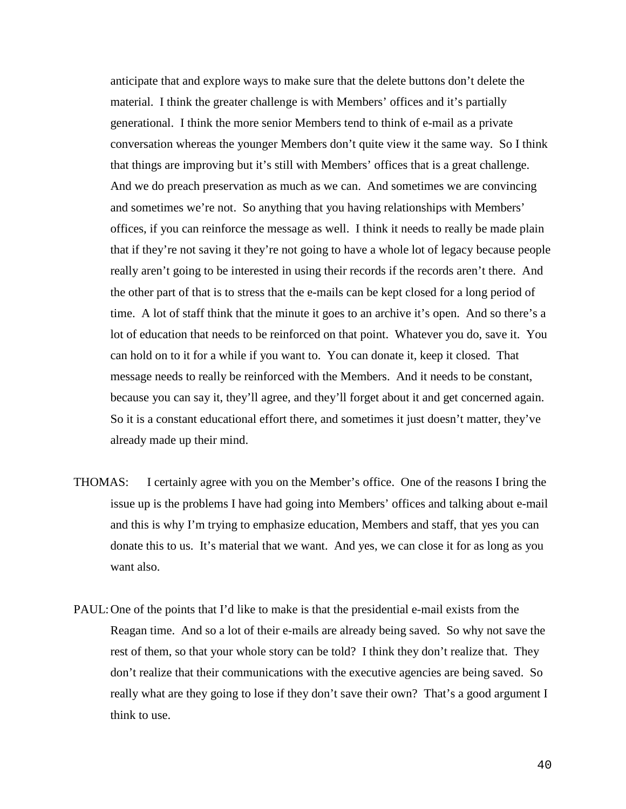anticipate that and explore ways to make sure that the delete buttons don't delete the material. I think the greater challenge is with Members' offices and it's partially generational. I think the more senior Members tend to think of e-mail as a private conversation whereas the younger Members don't quite view it the same way. So I think that things are improving but it's still with Members' offices that is a great challenge. And we do preach preservation as much as we can. And sometimes we are convincing and sometimes we're not. So anything that you having relationships with Members' offices, if you can reinforce the message as well. I think it needs to really be made plain that if they're not saving it they're not going to have a whole lot of legacy because people really aren't going to be interested in using their records if the records aren't there. And the other part of that is to stress that the e-mails can be kept closed for a long period of time. A lot of staff think that the minute it goes to an archive it's open. And so there's a lot of education that needs to be reinforced on that point. Whatever you do, save it. You can hold on to it for a while if you want to. You can donate it, keep it closed. That message needs to really be reinforced with the Members. And it needs to be constant, because you can say it, they'll agree, and they'll forget about it and get concerned again. So it is a constant educational effort there, and sometimes it just doesn't matter, they've already made up their mind.

- THOMAS: I certainly agree with you on the Member's office. One of the reasons I bring the issue up is the problems I have had going into Members' offices and talking about e-mail and this is why I'm trying to emphasize education, Members and staff, that yes you can donate this to us. It's material that we want. And yes, we can close it for as long as you want also.
- PAUL: One of the points that I'd like to make is that the presidential e-mail exists from the Reagan time. And so a lot of their e-mails are already being saved. So why not save the rest of them, so that your whole story can be told? I think they don't realize that. They don't realize that their communications with the executive agencies are being saved. So really what are they going to lose if they don't save their own? That's a good argument I think to use.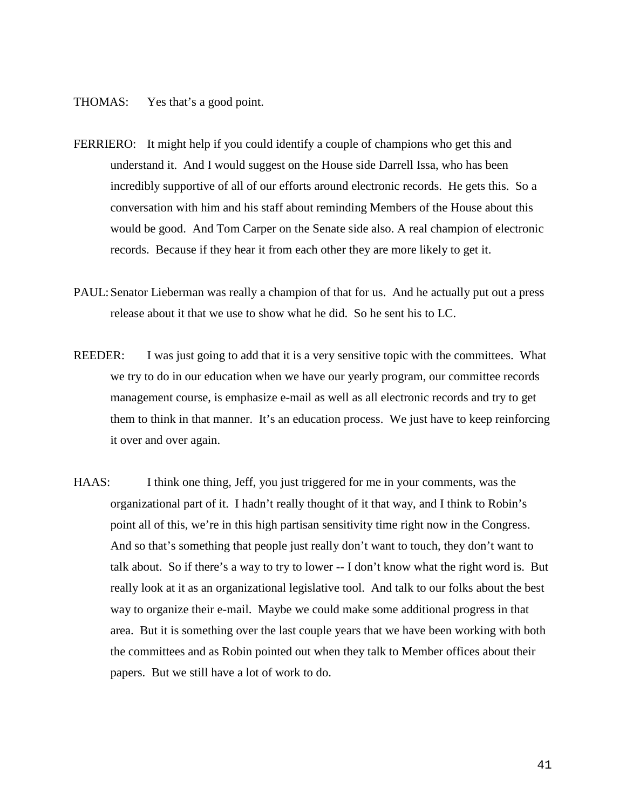THOMAS: Yes that's a good point.

- FERRIERO: It might help if you could identify a couple of champions who get this and understand it. And I would suggest on the House side Darrell Issa, who has been incredibly supportive of all of our efforts around electronic records. He gets this. So a conversation with him and his staff about reminding Members of the House about this would be good. And Tom Carper on the Senate side also. A real champion of electronic records. Because if they hear it from each other they are more likely to get it.
- PAUL: Senator Lieberman was really a champion of that for us. And he actually put out a press release about it that we use to show what he did. So he sent his to LC.
- REEDER: I was just going to add that it is a very sensitive topic with the committees. What we try to do in our education when we have our yearly program, our committee records management course, is emphasize e-mail as well as all electronic records and try to get them to think in that manner. It's an education process. We just have to keep reinforcing it over and over again.
- HAAS: I think one thing, Jeff, you just triggered for me in your comments, was the organizational part of it. I hadn't really thought of it that way, and I think to Robin's point all of this, we're in this high partisan sensitivity time right now in the Congress. And so that's something that people just really don't want to touch, they don't want to talk about. So if there's a way to try to lower -- I don't know what the right word is. But really look at it as an organizational legislative tool. And talk to our folks about the best way to organize their e-mail. Maybe we could make some additional progress in that area. But it is something over the last couple years that we have been working with both the committees and as Robin pointed out when they talk to Member offices about their papers. But we still have a lot of work to do.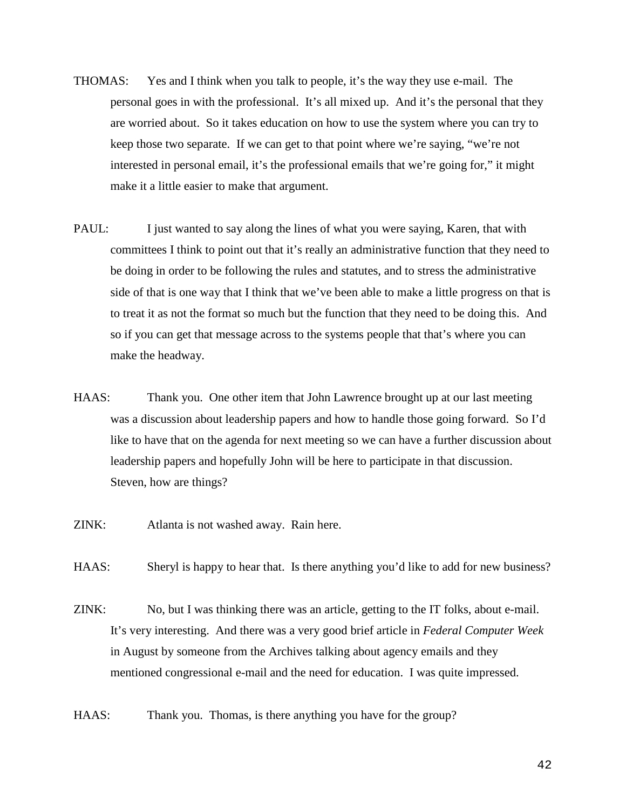- THOMAS: Yes and I think when you talk to people, it's the way they use e-mail. The personal goes in with the professional. It's all mixed up. And it's the personal that they are worried about. So it takes education on how to use the system where you can try to keep those two separate. If we can get to that point where we're saying, "we're not interested in personal email, it's the professional emails that we're going for," it might make it a little easier to make that argument.
- PAUL: I just wanted to say along the lines of what you were saying, Karen, that with committees I think to point out that it's really an administrative function that they need to be doing in order to be following the rules and statutes, and to stress the administrative side of that is one way that I think that we've been able to make a little progress on that is to treat it as not the format so much but the function that they need to be doing this. And so if you can get that message across to the systems people that that's where you can make the headway.
- HAAS: Thank you. One other item that John Lawrence brought up at our last meeting was a discussion about leadership papers and how to handle those going forward. So I'd like to have that on the agenda for next meeting so we can have a further discussion about leadership papers and hopefully John will be here to participate in that discussion. Steven, how are things?
- ZINK: Atlanta is not washed away. Rain here.
- HAAS: Sheryl is happy to hear that. Is there anything you'd like to add for new business?
- ZINK: No, but I was thinking there was an article, getting to the IT folks, about e-mail. It's very interesting. And there was a very good brief article in *Federal Computer Week* in August by someone from the Archives talking about agency emails and they mentioned congressional e-mail and the need for education. I was quite impressed.
- HAAS: Thank you. Thomas, is there anything you have for the group?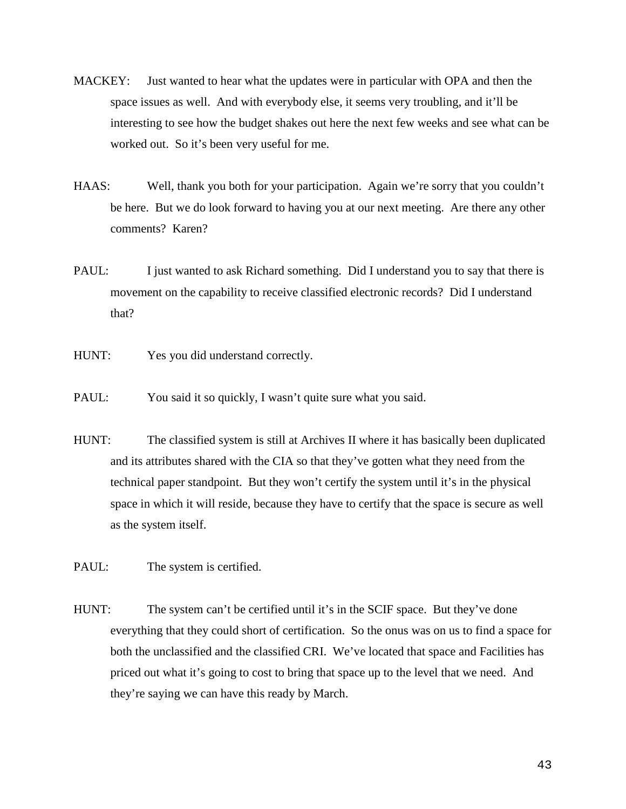- MACKEY: Just wanted to hear what the updates were in particular with OPA and then the space issues as well. And with everybody else, it seems very troubling, and it'll be interesting to see how the budget shakes out here the next few weeks and see what can be worked out. So it's been very useful for me.
- HAAS: Well, thank you both for your participation. Again we're sorry that you couldn't be here. But we do look forward to having you at our next meeting. Are there any other comments? Karen?
- PAUL: I just wanted to ask Richard something. Did I understand you to say that there is movement on the capability to receive classified electronic records? Did I understand that?
- HUNT: Yes you did understand correctly.
- PAUL: You said it so quickly, I wasn't quite sure what you said.
- HUNT: The classified system is still at Archives II where it has basically been duplicated and its attributes shared with the CIA so that they've gotten what they need from the technical paper standpoint. But they won't certify the system until it's in the physical space in which it will reside, because they have to certify that the space is secure as well as the system itself.
- PAUL: The system is certified.
- HUNT: The system can't be certified until it's in the SCIF space. But they've done everything that they could short of certification. So the onus was on us to find a space for both the unclassified and the classified CRI. We've located that space and Facilities has priced out what it's going to cost to bring that space up to the level that we need. And they're saying we can have this ready by March.